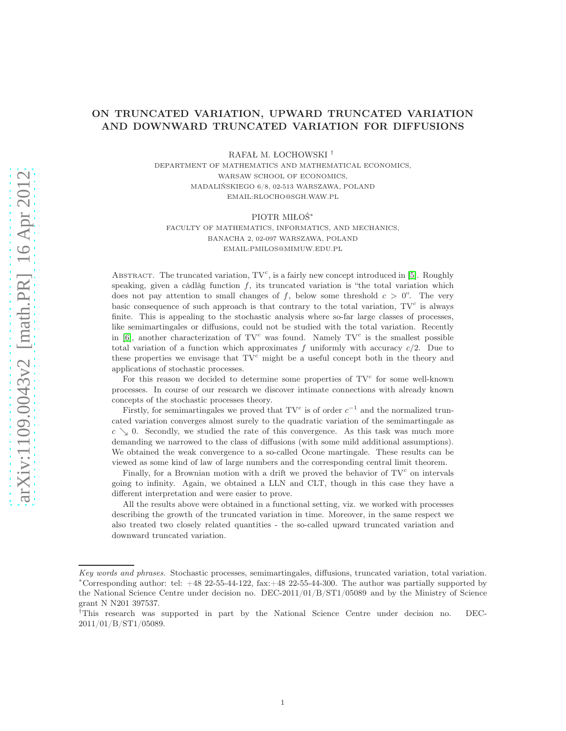# ON TRUNCATED VARIATION, UPWARD TRUNCATED VARIATION AND DOWNWARD TRUNCATED VARIATION FOR DIFFUSIONS

RAFAŁ M. ŁOCHOWSKI †

DEPARTMENT OF MATHEMATICS AND MATHEMATICAL ECONOMICS, WARSAW SCHOOL OF ECONOMICS, MADALIŃSKIEGO 6/8, 02-513 WARSZAWA, POLAND EMAIL:RLOCHO@SGH.WAW.PL

PIOTR MIŁOŚ<sup>∗</sup>

FACULTY OF MATHEMATICS, INFORMATICS, AND MECHANICS, BANACHA 2, 02-097 WARSZAWA, POLAND EMAIL:PMILOS@MIMUW.EDU.PL

ABSTRACT. The truncated variation,  $TV^c$ , is a fairly new concept introduced in [\[5\]](#page-28-0). Roughly speaking, given a càdlàg function  $f$ , its truncated variation is "the total variation which does not pay attention to small changes of f, below some threshold  $c > 0$ ". The very basic consequence of such approach is that contrary to the total variation,  $TV<sup>c</sup>$  is always finite. This is appealing to the stochastic analysis where so-far large classes of processes, like semimartingales or diffusions, could not be studied with the total variation. Recently in  $[6]$ , another characterization of TV<sup>c</sup> was found. Namely TV<sup>c</sup> is the smallest possible total variation of a function which approximates f uniformly with accuracy  $c/2$ . Due to these properties we envisage that  $\mathbf{T}V^c$  might be a useful concept both in the theory and applications of stochastic processes.

For this reason we decided to determine some properties of  $TV<sup>c</sup>$  for some well-known processes. In course of our research we discover intimate connections with already known concepts of the stochastic processes theory.

Firstly, for semimartingales we proved that  $\text{TV}^c$  is of order  $c^{-1}$  and the normalized truncated variation converges almost surely to the quadratic variation of the semimartingale as  $c \searrow 0$ . Secondly, we studied the rate of this convergence. As this task was much more demanding we narrowed to the class of diffusions (with some mild additional assumptions). We obtained the weak convergence to a so-called Ocone martingale. These results can be viewed as some kind of law of large numbers and the corresponding central limit theorem.

Finally, for a Brownian motion with a drift we proved the behavior of  $TV^c$  on intervals going to infinity. Again, we obtained a LLN and CLT, though in this case they have a different interpretation and were easier to prove.

All the results above were obtained in a functional setting, viz. we worked with processes describing the growth of the truncated variation in time. Moreover, in the same respect we also treated two closely related quantities - the so-called upward truncated variation and downward truncated variation.

Key words and phrases. Stochastic processes, semimartingales, diffusions, truncated variation, total variation. <sup>∗</sup>Corresponding author: tel: +48 22-55-44-122, fax:+48 22-55-44-300. The author was partially supported by the National Science Centre under decision no. DEC-2011/01/B/ST1/05089 and by the Ministry of Science grant N N201 397537.

<sup>†</sup>This research was supported in part by the National Science Centre under decision no. DEC-2011/01/B/ST1/05089.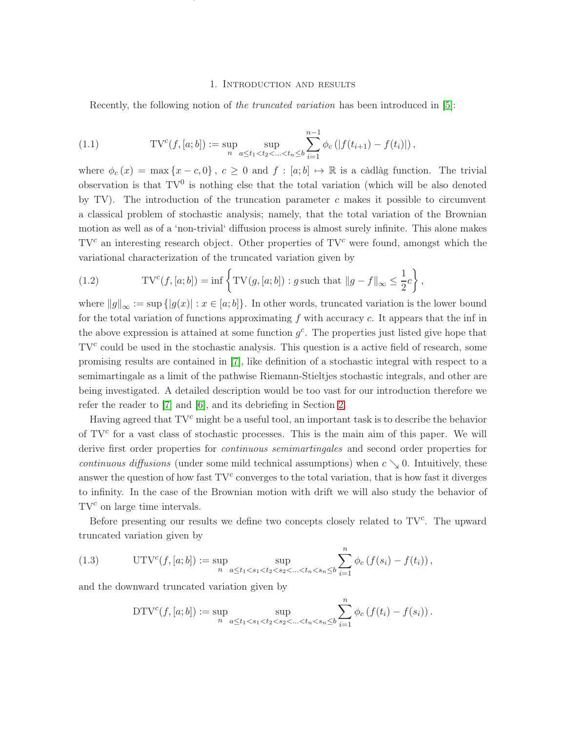## 1. Introduction and results

ON TRUNCATED VARIATION, UPWARD TRUNCATED VARIATION AND DOWNWARD TRUNCATED VARIATION FOR DIFFUSIONS2

<span id="page-1-0"></span>Recently, the following notion of the truncated variation has been introduced in [\[5\]](#page-28-0):

(1.1) 
$$
TV^{c}(f,[a;b]) := \sup_{n} \sup_{a \le t_1 < t_2 < ... < t_n \le b} \sum_{i=1}^{n-1} \phi_c(|f(t_{i+1}) - f(t_i)|),
$$

where  $\phi_c(x) = \max\{x - c, 0\}, c \ge 0$  and  $f : [a, b] \mapsto \mathbb{R}$  is a càdlàg function. The trivial observation is that  $TV^0$  is nothing else that the total variation (which will be also denoted by TV). The introduction of the truncation parameter c makes it possible to circumvent a classical problem of stochastic analysis; namely, that the total variation of the Brownian motion as well as of a 'non-trivial' diffusion process is almost surely infinite. This alone makes  $TV<sup>c</sup>$  an interesting research object. Other properties of  $TV<sup>c</sup>$  were found, amongst which the variational characterization of the truncated variation given by

<span id="page-1-1"></span>(1.2) 
$$
TV^{c}(f,[a;b]) = \inf \left\{ TV(g,[a;b]): g \text{ such that } ||g - f||_{\infty} \leq \frac{1}{2}c \right\},
$$

where  $||g||_{\infty} := \sup { |g(x)| : x \in [a, b] }$ . In other words, truncated variation is the lower bound for the total variation of functions approximating  $f$  with accuracy  $c$ . It appears that the inf in the above expression is attained at some function  $g<sup>c</sup>$ . The properties just listed give hope that  $TV<sup>c</sup>$  could be used in the stochastic analysis. This question is a active field of research, some promising results are contained in [\[7\]](#page-28-2), like definition of a stochastic integral with respect to a semimartingale as a limit of the pathwise Riemann-Stieltjes stochastic integrals, and other are being investigated. A detailed description would be too vast for our introduction therefore we refer the reader to [\[7\]](#page-28-2) and [\[6\]](#page-28-1), and its debriefing in Section [2.](#page-7-0)

Having agreed that  $TV^c$  might be a useful tool, an important task is to describe the behavior of  $TV<sup>c</sup>$  for a vast class of stochastic processes. This is the main aim of this paper. We will derive first order properties for *continuous semimartingales* and second order properties for continuous diffusions (under some mild technical assumptions) when  $c \searrow 0$ . Intuitively, these answer the question of how fast  $TV^c$  converges to the total variation, that is how fast it diverges to infinity. In the case of the Brownian motion with drift we will also study the behavior of  $TV<sup>c</sup>$  on large time intervals.

Before presenting our results we define two concepts closely related to  $TV<sup>c</sup>$ . The upward truncated variation given by

(1.3) 
$$
\text{UTV}^{c}(f,[a;b]) := \sup_{n} \sup_{a \leq t_1 < s_1 < t_2 < s_2 < \dots < t_n < s_n \leq b} \sum_{i=1}^{n} \phi_c \left( f(s_i) - f(t_i) \right),
$$

and the downward truncated variation given by

<span id="page-1-2"></span>
$$
\text{DTV}^{c}(f,[a;b]) := \sup_{n} \sup_{a \le t_1 < s_1 < t_2 < s_2 < \dots < t_n < s_n \le b} \sum_{i=1}^{n} \phi_c \left( f(t_i) - f(s_i) \right).
$$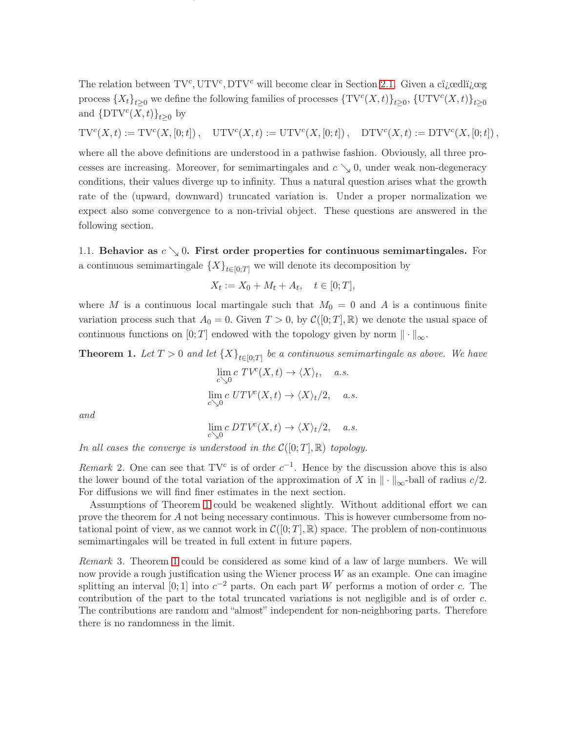The relation between  $TV^c$ ,  $UTV^c$ ,  $DTV^c$  will become clear in Section [2.1.](#page-8-0) Given a citienally  $\log$ process  ${X_t}_{t\geq 0}$  we define the following families of processes  ${\{TV^c(X,t)\}}_{t\geq 0}$ ,  ${\{\mathrm{UTV}^c(X,t)\}}_{t\geq 0}$ and  $\{\text{DTV}^c(X,t)\}_{t\geq 0}$  by

ON TRUNCATED VARIATION, UPWARD TRUNCATED VARIATION AND DOWNWARD TRUNCATED VARIATION FOR DIFFUSIONS3

 $TV^{c}(X,t) := TV^{c}(X,[0;t])$ ,  $UTV^{c}(X,t) := UTV^{c}(X,[0;t])$ ,  $DTV^{c}(X,t) := DTV^{c}(X,[0;t])$ ,

where all the above definitions are understood in a pathwise fashion. Obviously, all three processes are increasing. Moreover, for semimartingales and  $c \searrow 0$ , under weak non-degeneracy conditions, their values diverge up to infinity. Thus a natural question arises what the growth rate of the (upward, downward) truncated variation is. Under a proper normalization we expect also some convergence to a non-trivial object. These questions are answered in the following section.

1.1. Behavior as  $c \searrow 0$ . First order properties for continuous semimartingales. For a continuous semimartingale  $\{X\}_{t\in[0,T]}$  we will denote its decomposition by

$$
X_t := X_0 + M_t + A_t, \quad t \in [0;T],
$$

where M is a continuous local martingale such that  $M_0 = 0$  and A is a continuous finite variation process such that  $A_0 = 0$ . Given  $T > 0$ , by  $\mathcal{C}([0;T], \mathbb{R})$  we denote the usual space of continuous functions on [0; T] endowed with the topology given by norm  $\|\cdot\|_{\infty}$ .

<span id="page-2-0"></span>**Theorem 1.** Let  $T > 0$  and let  $\{X\}_{t \in [0,T]}$  be a continuous semimartingale as above. We have

$$
\lim_{c \searrow 0} c \, TV^c(X, t) \to \langle X \rangle_t, \quad a.s.
$$
  

$$
\lim_{c \searrow 0} c \, UTV^c(X, t) \to \langle X \rangle_t / 2, \quad a.s.
$$

and

$$
\lim_{c \searrow 0} c \, DTV^c(X, t) \to \langle X \rangle_t/2, \quad a.s.
$$

In all cases the converge is understood in the  $C([0;T], \mathbb{R})$  topology.

Remark 2. One can see that  $TV^c$  is of order  $c^{-1}$ . Hence by the discussion above this is also the lower bound of the total variation of the approximation of X in  $\|\cdot\|_{\infty}$ -ball of radius  $c/2$ . For diffusions we will find finer estimates in the next section.

Assumptions of Theorem [1](#page-2-0) could be weakened slightly. Without additional effort we can prove the theorem for A not being necessary continuous. This is however cumbersome from notational point of view, as we cannot work in  $\mathcal{C}([0; T], \mathbb{R})$  space. The problem of non-continuous semimartingales will be treated in full extent in future papers.

Remark 3. Theorem [1](#page-2-0) could be considered as some kind of a law of large numbers. We will now provide a rough justification using the Wiener process  $W$  as an example. One can imagine splitting an interval [0; 1] into  $c^{-2}$  parts. On each part W performs a motion of order c. The contribution of the part to the total truncated variations is not negligible and is of order c. The contributions are random and "almost" independent for non-neighboring parts. Therefore there is no randomness in the limit.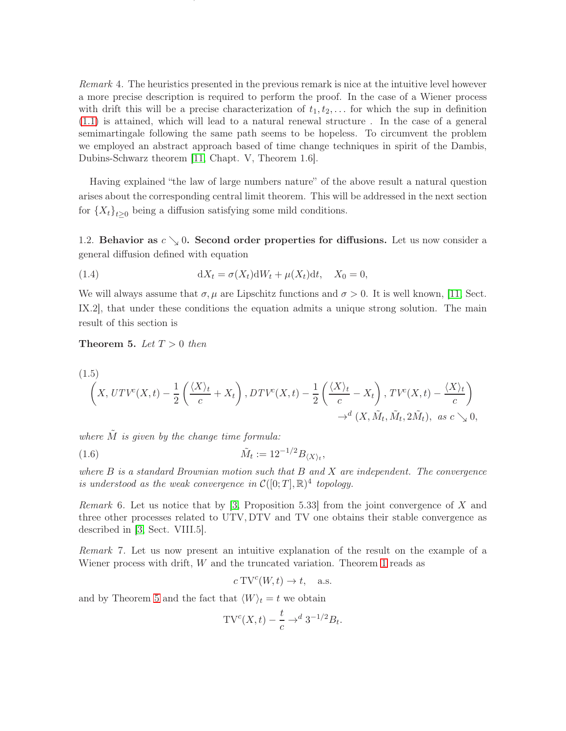<span id="page-3-2"></span>Remark 4. The heuristics presented in the previous remark is nice at the intuitive level however a more precise description is required to perform the proof. In the case of a Wiener process with drift this will be a precise characterization of  $t_1, t_2, \ldots$  for which the sup in definition [\(1.1\)](#page-1-0) is attained, which will lead to a natural renewal structure . In the case of a general semimartingale following the same path seems to be hopeless. To circumvent the problem we employed an abstract approach based of time change techniques in spirit of the Dambis, Dubins-Schwarz theorem [\[11,](#page-28-3) Chapt. V, Theorem 1.6].

ON TRUNCATED VARIATION, UPWARD TRUNCATED VARIATION AND DOWNWARD TRUNCATED VARIATION FOR DIFFUSIONS4

Having explained "the law of large numbers nature" of the above result a natural question arises about the corresponding central limit theorem. This will be addressed in the next section for  ${X_t}_{t\geq0}$  being a diffusion satisfying some mild conditions.

1.2. Behavior as  $c \searrow 0$ . Second order properties for diffusions. Let us now consider a general diffusion defined with equation

<span id="page-3-3"></span>(1.4) 
$$
dX_t = \sigma(X_t)dW_t + \mu(X_t)dt, \quad X_0 = 0,
$$

We will always assume that  $\sigma, \mu$  are Lipschitz functions and  $\sigma > 0$ . It is well known, [\[11,](#page-28-3) Sect. IX.2], that under these conditions the equation admits a unique strong solution. The main result of this section is

<span id="page-3-0"></span>**Theorem 5.** Let  $T > 0$  then

<span id="page-3-4"></span>
$$
(1.5)
$$
\n
$$
\left(X, UTV^{c}(X, t) - \frac{1}{2} \left(\frac{\langle X \rangle_{t}}{c} + X_{t}\right), DTV^{c}(X, t) - \frac{1}{2} \left(\frac{\langle X \rangle_{t}}{c} - X_{t}\right), TV^{c}(X, t) - \frac{\langle X \rangle_{t}}{c}\right)
$$
\n
$$
\rightarrow^{d} (X, \tilde{M}_{t}, \tilde{M}_{t}, 2\tilde{M}_{t}), \text{ as } c \searrow 0,
$$

where  $\tilde{M}$  is given by the change time formula:

(1.6) 
$$
\tilde{M}_t := 12^{-1/2} B_{\langle X \rangle_t},
$$

where  $B$  is a standard Brownian motion such that  $B$  and  $X$  are independent. The convergence is understood as the weak convergence in  $C([0;T], \mathbb{R})^4$  topology.

Remark 6. Let us notice that by [\[3,](#page-28-4) Proposition 5.33] from the joint convergence of X and three other processes related to UTV, DTV and TV one obtains their stable convergence as described in [\[3,](#page-28-4) Sect. VIII.5].

Remark 7. Let us now present an intuitive explanation of the result on the example of a Wiener process with drift,  $W$  and the truncated variation. Theorem [1](#page-2-0) reads as

<span id="page-3-1"></span>
$$
c\,\mathrm{TV}^c(W,t)\to t,\quad \text{a.s.}
$$

and by Theorem [5](#page-3-0) and the fact that  $\langle W \rangle_t = t$  we obtain

$$
\mathrm{TV}^c(X,t) - \frac{t}{c} \to^d 3^{-1/2} B_t.
$$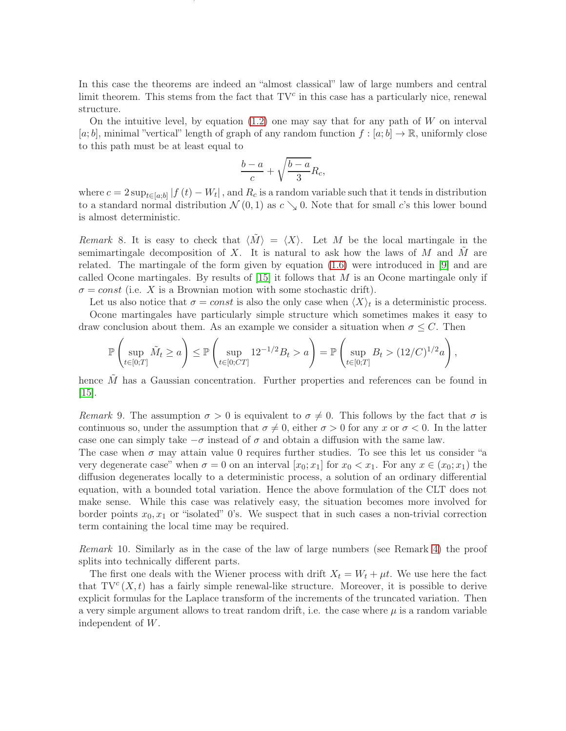In this case the theorems are indeed an "almost classical" law of large numbers and central limit theorem. This stems from the fact that  $TV^c$  in this case has a particularly nice, renewal structure.

ON TRUNCATED VARIATION, UPWARD TRUNCATED VARIATION AND DOWNWARD TRUNCATED VARIATION FOR DIFFUSIONS5

On the intuitive level, by equation  $(1.2)$  one may say that for any path of W on interval  $[a; b]$ , minimal "vertical" length of graph of any random function  $f : [a; b] \to \mathbb{R}$ , uniformly close to this path must be at least equal to

$$
\frac{b-a}{c} + \sqrt{\frac{b-a}{3}} R_c,
$$

where  $c = 2 \sup_{t \in [a,b]} |f(t) - W_t|$ , and  $R_c$  is a random variable such that it tends in distribution to a standard normal distribution  $\mathcal{N}(0,1)$  as  $c \searrow 0$ . Note that for small c's this lower bound is almost deterministic.

Remark 8. It is easy to check that  $\langle \tilde{M} \rangle = \langle X \rangle$ . Let M be the local martingale in the semimartingale decomposition of  $X$ . It is natural to ask how the laws of  $M$  and  $\tilde{M}$  are related. The martingale of the form given by equation [\(1.6\)](#page-3-1) were introduced in [\[9\]](#page-28-5) and are called Ocone martingales. By results of  $|15|$  it follows that M is an Ocone martingale only if  $\sigma = const$  (i.e. X is a Brownian motion with some stochastic drift).

Let us also notice that  $\sigma = const$  is also the only case when  $\langle X \rangle_t$  is a deterministic process. Ocone martingales have particularly simple structure which sometimes makes it easy to

draw conclusion about them. As an example we consider a situation when  $\sigma \leq C$ . Then

$$
\mathbb{P}\left(\sup_{t\in[0;T]}\tilde{M}_t \ge a\right) \le \mathbb{P}\left(\sup_{t\in[0;CT]}12^{-1/2}B_t > a\right) = \mathbb{P}\left(\sup_{t\in[0;T]}B_t > (12/C)^{1/2}a\right),
$$

hence  $\tilde{M}$  has a Gaussian concentration. Further properties and references can be found in [\[15\]](#page-28-6).

Remark 9. The assumption  $\sigma > 0$  is equivalent to  $\sigma \neq 0$ . This follows by the fact that  $\sigma$  is continuous so, under the assumption that  $\sigma \neq 0$ , either  $\sigma > 0$  for any x or  $\sigma < 0$ . In the latter case one can simply take  $-\sigma$  instead of  $\sigma$  and obtain a diffusion with the same law.

The case when  $\sigma$  may attain value 0 requires further studies. To see this let us consider "a very degenerate case" when  $\sigma = 0$  on an interval  $[x_0; x_1]$  for  $x_0 < x_1$ . For any  $x \in (x_0; x_1)$  the diffusion degenerates locally to a deterministic process, a solution of an ordinary differential equation, with a bounded total variation. Hence the above formulation of the CLT does not make sense. While this case was relatively easy, the situation becomes more involved for border points  $x_0, x_1$  or "isolated" 0's. We suspect that in such cases a non-trivial correction term containing the local time may be required.

<span id="page-4-0"></span>Remark 10. Similarly as in the case of the law of large numbers (see Remark [4\)](#page-3-2) the proof splits into technically different parts.

The first one deals with the Wiener process with drift  $X_t = W_t + \mu t$ . We use here the fact that  $TV^{c}(X,t)$  has a fairly simple renewal-like structure. Moreover, it is possible to derive explicit formulas for the Laplace transform of the increments of the truncated variation. Then a very simple argument allows to treat random drift, i.e. the case where  $\mu$  is a random variable independent of W.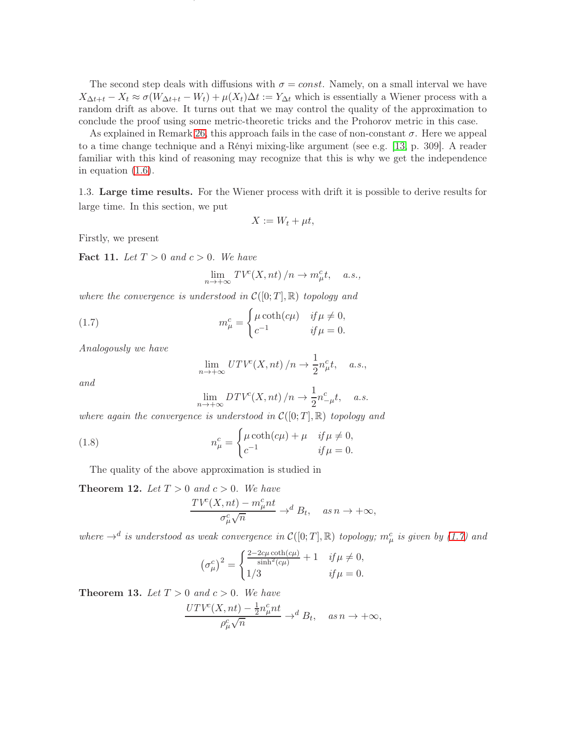The second step deals with diffusions with  $\sigma = const.$  Namely, on a small interval we have  $X_{\Delta t+t} - X_t \approx \sigma(W_{\Delta t+t} - W_t) + \mu(X_t)\Delta t := Y_{\Delta t}$  which is essentially a Wiener process with a random drift as above. It turns out that we may control the quality of the approximation to conclude the proof using some metric-theoretic tricks and the Prohorov metric in this case.

ON TRUNCATED VARIATION, UPWARD TRUNCATED VARIATION AND DOWNWARD TRUNCATED VARIATION FOR DIFFUSIONS6

As explained in Remark [26,](#page-21-0) this approach fails in the case of non-constant  $\sigma$ . Here we appeal to a time change technique and a Rényi mixing-like argument (see e.g. [\[13,](#page-28-7) p. 309]. A reader familiar with this kind of reasoning may recognize that this is why we get the independence in equation [\(1.6\)](#page-3-1).

1.3. Large time results. For the Wiener process with drift it is possible to derive results for large time. In this section, we put

$$
X := W_t + \mu t,
$$

Firstly, we present

<span id="page-5-2"></span>Fact 11. Let  $T > 0$  and  $c > 0$ . We have

$$
\lim_{n \to +\infty} TV^{c}(X, nt) / n \to m_{\mu}^{c}t, \quad a.s.,
$$

where the convergence is understood in  $\mathcal{C}([0;T],\mathbb{R})$  topology and

(1.7) 
$$
m_{\mu}^{c} = \begin{cases} \mu \coth(c\mu) & \text{if } \mu \neq 0, \\ c^{-1} & \text{if } \mu = 0. \end{cases}
$$

Analogously we have

<span id="page-5-0"></span>
$$
\lim_{n \to +\infty} UTV^c(X, nt) / n \to \frac{1}{2} n^c_\mu t, \quad a.s.,
$$

and

<span id="page-5-1"></span>
$$
\lim_{n \to +\infty} DTV^{c}(X, nt) / n \to \frac{1}{2}n_{-\mu}^{c}t, \quad a.s.
$$

where again the convergence is understood in  $\mathcal{C}([0,T],\mathbb{R})$  topology and

(1.8) 
$$
n_{\mu}^{c} = \begin{cases} \mu \coth(c\mu) + \mu & \text{if } \mu \neq 0, \\ c^{-1} & \text{if } \mu = 0. \end{cases}
$$

The quality of the above approximation is studied in

<span id="page-5-3"></span>**Theorem 12.** Let  $T > 0$  and  $c > 0$ . We have  $TV^c(X, nt) - m^c_\mu nt$  $\frac{\partial^2 u}{\partial \sigma_\mu^c \sqrt{n}} \rightarrow^d B_t$ , as  $n \rightarrow +\infty$ ,

where  $\rightarrow^d$  is understood as weak convergence in  $\mathcal{C}([0;T], \mathbb{R})$  topology;  $m_\mu^c$  is given by [\(1.7\)](#page-5-0) and

$$
\left(\sigma_{\mu}^{c}\right)^{2} = \begin{cases} \frac{2 - 2c\mu \coth(c\mu)}{\sinh^{2}(c\mu)} + 1 & \text{if } \mu \neq 0, \\ 1/3 & \text{if } \mu = 0. \end{cases}
$$

<span id="page-5-4"></span>**Theorem 13.** Let  $T > 0$  and  $c > 0$ . We have

$$
\frac{UTV^{c}(X,nt) - \frac{1}{2}n_{\mu}^{c}nt}{\rho_{\mu}^{c}\sqrt{n}} \to^{d} B_{t}, \quad \text{as } n \to +\infty,
$$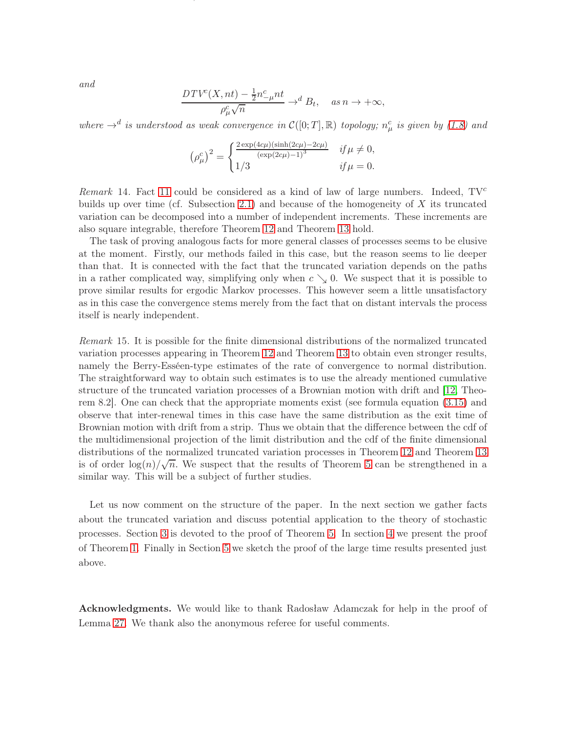and

$$
\frac{DTV^c(X, nt) - \frac{1}{2}n^c_{-\mu}nt}{\rho^c_{\mu}\sqrt{n}} \to^d B_t, \quad as \ n \to +\infty,
$$

ON TRUNCATED VARIATION, UPWARD TRUNCATED VARIATION AND DOWNWARD TRUNCATED VARIATION FOR DIFFUSIONS7

where  $\rightarrow^d$  is understood as weak convergence in  $\mathcal{C}([0;T], \mathbb{R})$  topology;  $n^c_\mu$  is given by [\(1.8\)](#page-5-1) and

$$
(\rho_{\mu}^{c})^{2} = \begin{cases} \frac{2 \exp(4c\mu)(\sinh(2c\mu) - 2c\mu)}{(\exp(2c\mu) - 1)^{3}} & if \mu \neq 0, \\ 1/3 & if \mu = 0. \end{cases}
$$

*Remark* 14. Fact [11](#page-5-2) could be considered as a kind of law of large numbers. Indeed,  $TV^c$ builds up over time (cf. Subsection [2.1\)](#page-8-0) and because of the homogeneity of  $X$  its truncated variation can be decomposed into a number of independent increments. These increments are also square integrable, therefore Theorem [12](#page-5-3) and Theorem [13](#page-5-4) hold.

The task of proving analogous facts for more general classes of processes seems to be elusive at the moment. Firstly, our methods failed in this case, but the reason seems to lie deeper than that. It is connected with the fact that the truncated variation depends on the paths in a rather complicated way, simplifying only when  $c \searrow 0$ . We suspect that it is possible to prove similar results for ergodic Markov processes. This however seem a little unsatisfactory as in this case the convergence stems merely from the fact that on distant intervals the process itself is nearly independent.

Remark 15. It is possible for the finite dimensional distributions of the normalized truncated variation processes appearing in Theorem [12](#page-5-3) and Theorem [13](#page-5-4) to obtain even stronger results, namely the Berry-Esséen-type estimates of the rate of convergence to normal distribution. The straightforward way to obtain such estimates is to use the already mentioned cumulative structure of the truncated variation processes of a Brownian motion with drift and [\[12,](#page-28-8) Theorem 8.2]. One can check that the appropriate moments exist (see formula equation [\(3.15\)](#page-15-0) and observe that inter-renewal times in this case have the same distribution as the exit time of Brownian motion with drift from a strip. Thus we obtain that the difference between the cdf of the multidimensional projection of the limit distribution and the cdf of the finite dimensional distributions of the normalized truncated variation processes in Theorem [12](#page-5-3) and Theorem [13](#page-5-4) is of order  $\log(n)/\sqrt{n}$ . We suspect that the results of Theorem [5](#page-3-0) can be strengthened in a similar way. This will be a subject of further studies.

Let us now comment on the structure of the paper. In the next section we gather facts about the truncated variation and discuss potential application to the theory of stochastic processes. Section [3](#page-11-0) is devoted to the proof of Theorem [5.](#page-3-0) In section [4](#page-25-0) we present the proof of Theorem [1.](#page-2-0) Finally in Section [5](#page-27-0) we sketch the proof of the large time results presented just above.

Acknowledgments. We would like to thank Radosław Adamczak for help in the proof of Lemma [27.](#page-21-1) We thank also the anonymous referee for useful comments.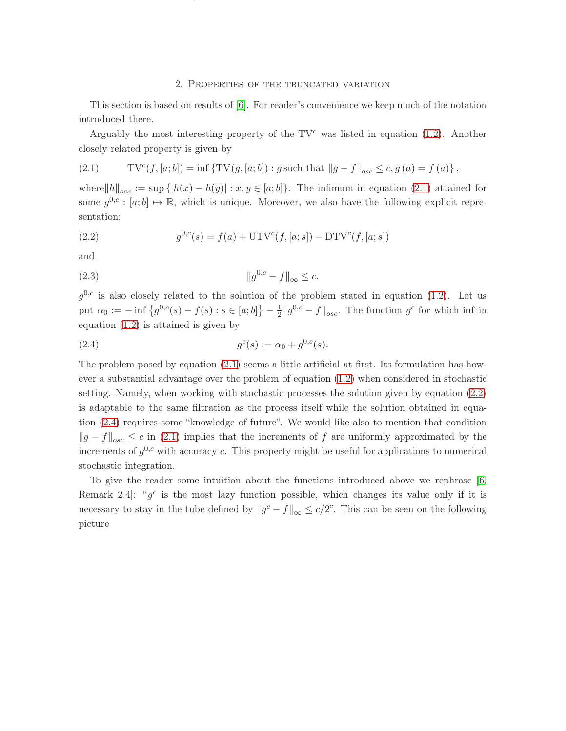## 2. Properties of the truncated variation

ON TRUNCATED VARIATION, UPWARD TRUNCATED VARIATION AND DOWNWARD TRUNCATED VARIATION FOR DIFFUSIONS8

<span id="page-7-0"></span>This section is based on results of [\[6\]](#page-28-1). For reader's convenience we keep much of the notation introduced there.

Arguably the most interesting property of the  $TV<sup>c</sup>$  was listed in equation [\(1.2\)](#page-1-1). Another closely related property is given by

<span id="page-7-1"></span>(2.1) 
$$
TV^{c}(f, [a; b]) = \inf \{ TV(g, [a; b]) : g \text{ such that } ||g - f||_{osc} \le c, g (a) = f (a) \},
$$

where $||h||_{osc} := \sup \{|h(x) - h(y)| : x, y \in [a, b]\}.$  The infimum in equation [\(2.1\)](#page-7-1) attained for some  $g^{0,c} : [a; b] \mapsto \mathbb{R}$ , which is unique. Moreover, we also have the following explicit representation:

<span id="page-7-2"></span>(2.2) 
$$
g^{0,c}(s) = f(a) + \text{UTV}^c(f,[a;s]) - \text{DTV}^c(f,[a;s])
$$

and

<span id="page-7-4"></span>(2.3) kg <sup>0</sup>,c <sup>−</sup> <sup>f</sup>k<sup>∞</sup> <sup>≤</sup> c.

 $g^{0,c}$  is also closely related to the solution of the problem stated in equation [\(1.2\)](#page-1-1). Let us put  $\alpha_0 := -\inf \left\{ g^{0,c}(s) - f(s) : s \in [a;b] \right\} - \frac{1}{2}$  $\frac{1}{2}||g^{0,c} - f||_{osc}$ . The function  $g^c$  for which inf in equation [\(1.2\)](#page-1-1) is attained is given by

<span id="page-7-3"></span>(2.4) 
$$
g^{c}(s) := \alpha_0 + g^{0,c}(s).
$$

The problem posed by equation [\(2.1\)](#page-7-1) seems a little artificial at first. Its formulation has however a substantial advantage over the problem of equation [\(1.2\)](#page-1-1) when considered in stochastic setting. Namely, when working with stochastic processes the solution given by equation [\(2.2\)](#page-7-2) is adaptable to the same filtration as the process itself while the solution obtained in equation [\(2.4\)](#page-7-3) requires some "knowledge of future". We would like also to mention that condition  $||g - f||_{osc}$  ≤ c in [\(2.1\)](#page-7-1) implies that the increments of f are uniformly approximated by the increments of  $g^{0,c}$  with accuracy c. This property might be useful for applications to numerical stochastic integration.

To give the reader some intuition about the functions introduced above we rephrase [\[6,](#page-28-1) Remark 2.4: " $g^c$  is the most lazy function possible, which changes its value only if it is necessary to stay in the tube defined by  $||g^c - f||_{\infty} \le c/2$ ". This can be seen on the following picture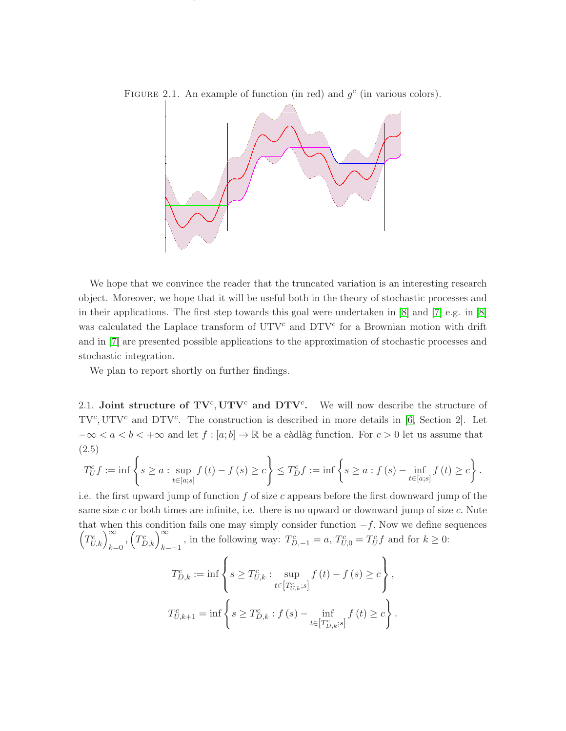

FIGURE 2.1. An example of function (in red) and  $g<sup>c</sup>$  (in various colors).

ON TRUNCATED VARIATION, UPWARD TRUNCATED VARIATION AND DOWNWARD TRUNCATED VARIATION FOR DIFFUSIONS9

We hope that we convince the reader that the truncated variation is an interesting research object. Moreover, we hope that it will be useful both in the theory of stochastic processes and in their applications. The first step towards this goal were undertaken in [\[8\]](#page-28-9) and [\[7\]](#page-28-2) e.g. in [\[8\]](#page-28-9) was calculated the Laplace transform of  $UTV^c$  and  $DTV^c$  for a Brownian motion with drift and in [\[7\]](#page-28-2) are presented possible applications to the approximation of stochastic processes and stochastic integration.

We plan to report shortly on further findings.

<span id="page-8-0"></span>2.1. Joint structure of  $TV^c$ ,  $UTV^c$  and  $DTV^c$ . We will now describe the structure of  $TV^{c}$ ,  $UTV^{c}$  and  $DTV^{c}$ . The construction is described in more details in [\[6,](#page-28-1) Section 2]. Let  $-\infty < a < b < +\infty$  and let  $f : [a, b] \to \mathbb{R}$  be a càdlàg function. For  $c > 0$  let us assume that (2.5)

<span id="page-8-1"></span>
$$
T_{U}^{c} f := \inf \left\{ s \ge a : \sup_{t \in [a;s]} f(t) - f(s) \ge c \right\} \le T_{D}^{c} f := \inf \left\{ s \ge a : f(s) - \inf_{t \in [a;s]} f(t) \ge c \right\}.
$$

i.e. the first upward jump of function  $f$  of size c appears before the first downward jump of the same size c or both times are infinite, i.e. there is no upward or downward jump of size c. Note that when this condition fails one may simply consider function  $-f$ . Now we define sequences  $(T_{U,k}^c)_{k=0}^{\infty}, (T_{D,k}^c)_{k=-1}^{\infty}$ , in the following way:  $T_{D,-1}^c = a, T_{U,0}^c = T_U^c f$  and for  $k \geq 0$ :

$$
T_{D,k}^{c} := \inf \left\{ s \ge T_{U,k}^{c} : \sup_{t \in [T_{U,k}^{c};s]} f(t) - f(s) \ge c \right\},\
$$
  

$$
T_{U,k+1}^{c} = \inf \left\{ s \ge T_{D,k}^{c} : f(s) - \inf_{t \in [T_{D,k}^{c};s]} f(t) \ge c \right\}.
$$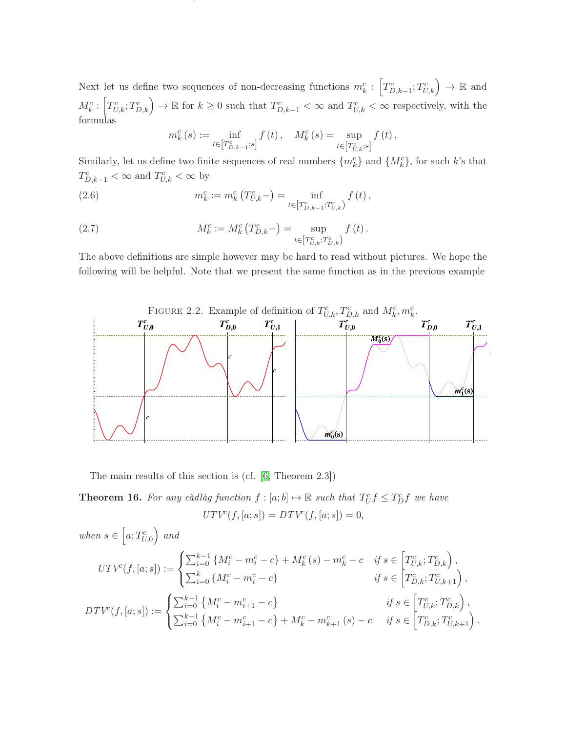Next let us define two sequences of non-decreasing functions  $m_k^c: \left[T_{D,k-1}^c; T_{U,k}^c\right] \to \mathbb{R}$  and  $M_k^c: \left[T_{U,k}^c; T_{D,k}^c\right] \to \mathbb{R}$  for  $k \geq 0$  such that  $T_{D,k-1}^c < \infty$  and  $T_{U,k}^c < \infty$  respectively, with the formulas

ON TRUNCATED VARIATION, UPWARD TRUNCATED VARIATION AND DOWNWARD TRUNCATED VARIATION FOR DIFFUSIONS10

<span id="page-9-2"></span><span id="page-9-1"></span>
$$
m_k^c\left(s\right):=\inf_{t\in\left[T_{D,k-1}^c;s\right]}f\left(t\right),\quad M_k^c\left(s\right)=\sup_{t\in\left[T_{U,k}^c;s\right]}f\left(t\right),
$$

Similarly, let us define two finite sequences of real numbers  $\{m_k^c\}$  and  $\{M_k^c\}$ , for such k's that  $T_{D,k-1}^c < \infty$  and  $T_{U,k}^c < \infty$  by

(2.6) 
$$
m_k^c := m_k^c \left( T_{U,k}^c \right) = \inf_{t \in \left[ T_{D,k-1}^c; T_{U,k}^c \right)} f \left( t \right),
$$

(2.7) 
$$
M_k^c := M_k^c \left( T_{D,k}^c \right) = \sup_{t \in \left[ T_{U,k}^c; T_{D,k}^c \right)} f \left( t \right).
$$

The above definitions are simple however may be hard to read without pictures. We hope the following will be helpful. Note that we present the same function as in the previous example



The main results of this section is (cf. [\[6,](#page-28-1) Theorem 2.3])

<span id="page-9-0"></span>**Theorem 16.** For any càdlàg function  $f : [a; b] \mapsto \mathbb{R}$  such that  $T_U^c f \leq T_D^c f$  we have  $UTV^{c}(f,[a;s]) = DTV^{c}(f,[a;s]) = 0,$ 

when 
$$
s \in [a; T_{U,0}^c)
$$
 and  
\n
$$
UTV^c(f,[a;s]) := \begin{cases} \sum_{i=0}^{k-1} \{M_i^c - m_i^c - c\} + M_k^c(s) - m_k^c - c & \text{if } s \in [T_{U,k}^c; T_{D,k}^c), \\ \sum_{i=0}^k \{M_i^c - m_i^c - c\} & \text{if } s \in [T_{D,k}^c; T_{U,k+1}^c), \\ DTV^c(f,[a;s]) := \begin{cases} \sum_{i=0}^{k-1} \{M_i^c - m_{i+1}^c - c\} & \text{if } s \in [T_{U,k}^c; T_{D,k}^c), \\ \sum_{i=0}^{k-1} \{M_i^c - m_{i+1}^c - c\} + M_k^c - m_{k+1}^c(s) - c & \text{if } s \in [T_{D,k}^c; T_{U,k+1}^c). \end{cases}
$$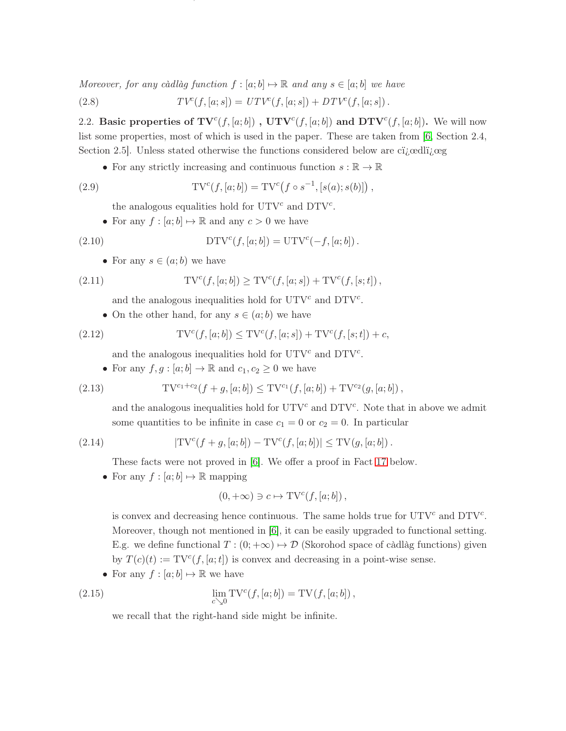Moreover, for any càdlàg function  $f : [a; b] \mapsto \mathbb{R}$  and any  $s \in [a; b]$  we have

<span id="page-10-1"></span>(2.8) 
$$
TV^{c}(f,[a;s]) = UTV^{c}(f,[a;s]) + DTV^{c}(f,[a;s]) .
$$

2.2. Basic properties of  $TV^c(f, [a; b])$ ,  $UTV^c(f, [a; b])$  and  $DTV^c(f, [a; b])$ . We will now list some properties, most of which is used in the paper. These are taken from [\[6,](#page-28-1) Section 2.4, Section 2.5. Unless stated otherwise the functions considered below are citedliged

ON TRUNCATED VARIATION, UPWARD TRUNCATED VARIATION AND DOWNWARD TRUNCATED VARIATION FOR DIFFUSIONS11

• For any strictly increasing and continuous function  $s : \mathbb{R} \to \mathbb{R}$ 

(2.9) 
$$
TV^{c}(f,[a;b]) = TV^{c}(f \circ s^{-1}, [s(a);s(b)]),
$$

<span id="page-10-5"></span><span id="page-10-0"></span>the analogous equalities hold for  $UTV^c$  and  $DTV^c$ .

• For any  $f : [a; b] \mapsto \mathbb{R}$  and any  $c > 0$  we have

(2.10) 
$$
DTV^{c}(f,[a;b]) = UTV^{c}(-f,[a;b]).
$$

• For any  $s \in (a;b)$  we have

(2.11) 
$$
TV^{c}(f,[a;b]) \geq TV^{c}(f,[a;s]) + TV^{c}(f,[s;t]),
$$

<span id="page-10-2"></span>and the analogous inequalities hold for  $UTV^c$  and  $DTV^c$ .

• On the other hand, for any  $s \in (a, b)$  we have

(2.12) 
$$
TV^{c}(f, [a; b]) \leq TV^{c}(f, [a; s]) + TV^{c}(f, [s; t]) + c,
$$

<span id="page-10-3"></span>and the analogous inequalities hold for  $UTV^c$  and  $DTV^c$ .

• For any  $f, g : [a, b] \to \mathbb{R}$  and  $c_1, c_2 \geq 0$  we have

(2.13) 
$$
TV^{c_1+c_2}(f+g,[a;b]) \leq TV^{c_1}(f,[a;b]) + TV^{c_2}(g,[a;b])
$$

<span id="page-10-4"></span>and the analogous inequalities hold for  $UTV^c$  and  $DTV^c$ . Note that in above we admit some quantities to be infinite in case  $c_1 = 0$  or  $c_2 = 0$ . In particular

(2.14) 
$$
|\text{TV}^c(f+g,[a;b]) - \text{TV}^c(f,[a;b])| \leq \text{TV}(g,[a;b]).
$$

<span id="page-10-6"></span>These facts were not proved in [\[6\]](#page-28-1). We offer a proof in Fact [17](#page-11-1) below.

• For any  $f : [a; b] \mapsto \mathbb{R}$  mapping

$$
(0,+\infty)\ni c\mapsto \mathrm{TV}^c(f,[a;b])\,,
$$

is convex and decreasing hence continuous. The same holds true for  $UTV^c$  and  $DTV^c$ . Moreover, though not mentioned in  $[6]$ , it can be easily upgraded to functional setting. E.g. we define functional  $T : (0; +\infty) \mapsto \mathcal{D}$  (Skorohod space of càdlàg functions) given by  $T(c)(t) := TV^{c}(f, [a; t])$  is convex and decreasing in a point-wise sense.

• For any  $f : [a; b] \mapsto \mathbb{R}$  we have

(2.15) 
$$
\lim_{c \searrow 0} TV^{c}(f, [a; b]) = TV(f, [a; b]),
$$

we recall that the right-hand side might be infinite.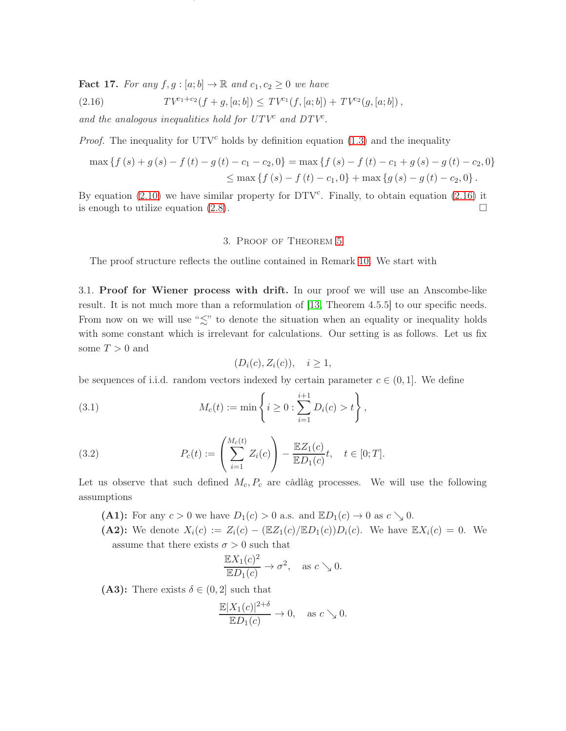<span id="page-11-1"></span>Fact 17. For any  $f, g : [a; b] \to \mathbb{R}$  and  $c_1, c_2 \geq 0$  we have

<span id="page-11-2"></span>(2.16) 
$$
TV^{c_1+c_2}(f+g,[a;b]) \leq TV^{c_1}(f,[a;b]) + TV^{c_2}(g,[a;b])\,,
$$

and the analogous inequalities hold for  $UTV^c$  and  $DTV^c$ .

*Proof.* The inequality for  $UTV^c$  holds by definition equation [\(1.3\)](#page-1-2) and the inequality

$$
\max \left\{ f(s) + g(s) - f(t) - g(t) - c_1 - c_2, 0 \right\} = \max \left\{ f(s) - f(t) - c_1 + g(s) - g(t) - c_2, 0 \right\}
$$
  
 
$$
\leq \max \left\{ f(s) - f(t) - c_1, 0 \right\} + \max \left\{ g(s) - g(t) - c_2, 0 \right\}.
$$

ON TRUNCATED VARIATION, UPWARD TRUNCATED VARIATION AND DOWNWARD TRUNCATED VARIATION FOR DIFFUSIONS12

<span id="page-11-0"></span>By equation  $(2.10)$  we have similar property for DTV<sup>c</sup>. Finally, to obtain equation  $(2.16)$  it is enough to utilize equation  $(2.8)$ .

## 3. Proof of Theorem [5](#page-3-0)

The proof structure reflects the outline contained in Remark [10.](#page-4-0) We start with

3.1. Proof for Wiener process with drift. In our proof we will use an Anscombe-like result. It is not much more than a reformulation of [\[13,](#page-28-7) Theorem 4.5.5] to our specific needs. From now on we will use " $\lesssim$ " to denote the situation when an equality or inequality holds with some constant which is irrelevant for calculations. Our setting is as follows. Let us fix some  $T > 0$  and

$$
(D_i(c), Z_i(c)), \quad i \ge 1,
$$

be sequences of i.i.d. random vectors indexed by certain parameter  $c \in (0,1]$ . We define

(3.1) 
$$
M_c(t) := \min \left\{ i \geq 0 : \sum_{i=1}^{i+1} D_i(c) > t \right\},\,
$$

<span id="page-11-3"></span>(3.2) 
$$
P_c(t) := \left(\sum_{i=1}^{M_c(t)} Z_i(c)\right) - \frac{\mathbb{E}Z_1(c)}{\mathbb{E}D_1(c)}t, \quad t \in [0;T].
$$

Let us observe that such defined  $M_c$ ,  $P_c$  are càdlàg processes. We will use the following assumptions

(A1): For any  $c > 0$  we have  $D_1(c) > 0$  a.s. and  $\mathbb{E}D_1(c) \to 0$  as  $c \searrow 0$ .

(A2): We denote  $X_i(c) := Z_i(c) - (\mathbb{E}Z_1(c)/\mathbb{E}D_1(c))D_i(c)$ . We have  $\mathbb{E}X_i(c) = 0$ . We assume that there exists  $\sigma > 0$  such that

$$
\frac{\mathbb{E}X_1(c)^2}{\mathbb{E}D_1(c)} \to \sigma^2, \text{ as } c \searrow 0.
$$

(A3): There exists  $\delta \in (0, 2]$  such that

$$
\frac{\mathbb{E}|X_1(c)|^{2+\delta}}{\mathbb{E}D_1(c)} \to 0, \text{ as } c \searrow 0.
$$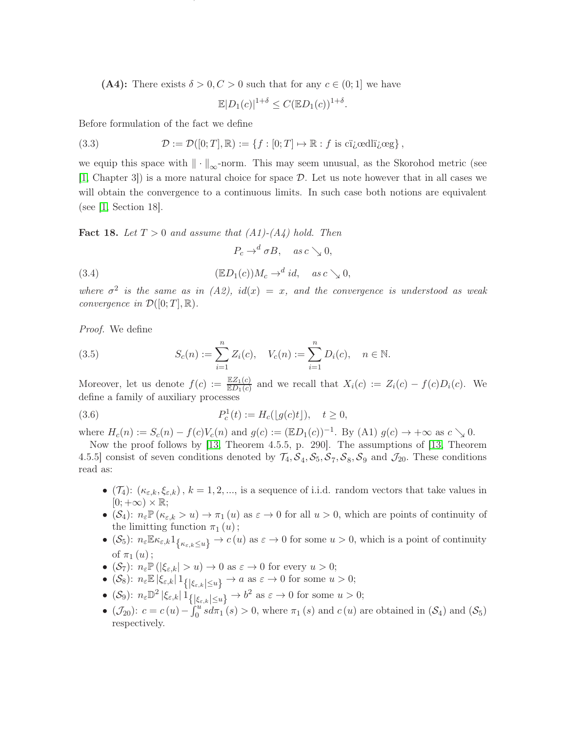(A4): There exists  $\delta > 0, C > 0$  such that for any  $c \in (0, 1]$  we have

<span id="page-12-2"></span>
$$
\mathbb{E}|D_1(c)|^{1+\delta} \leq C(\mathbb{E}D_1(c))^{1+\delta}.
$$

ON TRUNCATED VARIATION, UPWARD TRUNCATED VARIATION AND DOWNWARD TRUNCATED VARIATION FOR DIFFUSIONS13

Before formulation of the fact we define

(3.3) 
$$
\mathcal{D} := \mathcal{D}([0;T], \mathbb{R}) := \{f : [0;T] \mapsto \mathbb{R} : f \text{ is cijedllij} \in \mathcal{D}\},
$$

we equip this space with  $\|\cdot\|_{\infty}$ -norm. This may seem unusual, as the Skorohod metric (see [\[1,](#page-28-10) Chapter 3]) is a more natural choice for space D. Let us note however that in all cases we will obtain the convergence to a continuous limits. In such case both notions are equivalent (see [\[1,](#page-28-10) Section 18].

<span id="page-12-1"></span>**Fact 18.** Let  $T > 0$  and assume that  $(A1)-(A4)$  hold. Then

<span id="page-12-0"></span>
$$
P_c \to^d \sigma B, \quad \text{as } c \searrow 0,
$$

(3.4) 
$$
(\mathbb{E}D_1(c))M_c \to^d id, \quad \text{as } c \searrow 0,
$$

where  $\sigma^2$  is the same as in (A2), id(x) = x, and the convergence is understood as weak convergence in  $\mathcal{D}([0;T],\mathbb{R})$ .

Proof. We define

<span id="page-12-3"></span>(3.5) 
$$
S_c(n) := \sum_{i=1}^n Z_i(c), \quad V_c(n) := \sum_{i=1}^n D_i(c), \quad n \in \mathbb{N}.
$$

Moreover, let us denote  $f(c) := \frac{\mathbb{E}Z_1(c)}{\mathbb{E}D_1(c)}$  and we recall that  $X_i(c) := Z_i(c) - f(c)D_i(c)$ . We define a family of auxiliary processes

(3.6) 
$$
P_c^1(t) := H_c(\lfloor g(c)t \rfloor), \quad t \ge 0,
$$

where  $H_c(n) := S_c(n) - f(c)V_c(n)$  and  $g(c) := (\mathbb{E}D_1(c))^{-1}$ . By (A1)  $g(c) \to +\infty$  as  $c \searrow 0$ .

Now the proof follows by [\[13,](#page-28-7) Theorem 4.5.5, p. 290]. The assumptions of [\[13,](#page-28-7) Theorem 4.5.5] consist of seven conditions denoted by  $\mathcal{T}_4$ ,  $\mathcal{S}_4$ ,  $\mathcal{S}_5$ ,  $\mathcal{S}_7$ ,  $\mathcal{S}_8$ ,  $\mathcal{S}_9$  and  $\mathcal{J}_{20}$ . These conditions read as:

- $(\mathcal{T}_4)$ :  $(\kappa_{\varepsilon,k}, \xi_{\varepsilon,k})$ ,  $k = 1, 2, ...,$  is a sequence of i.i.d. random vectors that take values in  $[0; +\infty) \times \mathbb{R};$
- $(S_4)$ :  $n_{\varepsilon} \mathbb{P}(\kappa_{\varepsilon,k} > u) \to \pi_1(u)$  as  $\varepsilon \to 0$  for all  $u > 0$ , which are points of continuity of the limitting function  $\pi_1(u)$ ;
- $(\mathcal{S}_5)$ :  $n_{\varepsilon} \mathbb{E} \kappa_{\varepsilon,k} 1_{\{\kappa_{\varepsilon,k} \leq u\}} \to c(u)$  as  $\varepsilon \to 0$  for some  $u > 0$ , which is a point of continuity of  $\pi_1(u)$  ;
- ( $S_7$ ):  $n_{\varepsilon} \mathbb{P}(|\xi_{\varepsilon,k}| > u) \to 0$  as  $\varepsilon \to 0$  for every  $u > 0$ ;
- (S<sub>8</sub>):  $n_{\varepsilon} \mathbb{E} |\xi_{\varepsilon,k}| 1_{\{|\xi_{\varepsilon,k}| \le u\}} \to a \text{ as } \varepsilon \to 0 \text{ for some } u > 0;$
- (S<sub>9</sub>):  $n_{\varepsilon} \mathbb{D}^2 |\xi_{\varepsilon,k}| \mathbb{1}_{\{\xi_{\varepsilon,k} \leq u\}} \to b^2$  as  $\varepsilon \to 0$  for some  $u > 0$ ;
- $(\mathcal{J}_{20})$ :  $c = c(u) \int_0^u s d\pi_1(s) > 0$ , where  $\pi_1(s)$  and  $c(u)$  are obtained in  $(\mathcal{S}_4)$  and  $(\mathcal{S}_5)$ respectively.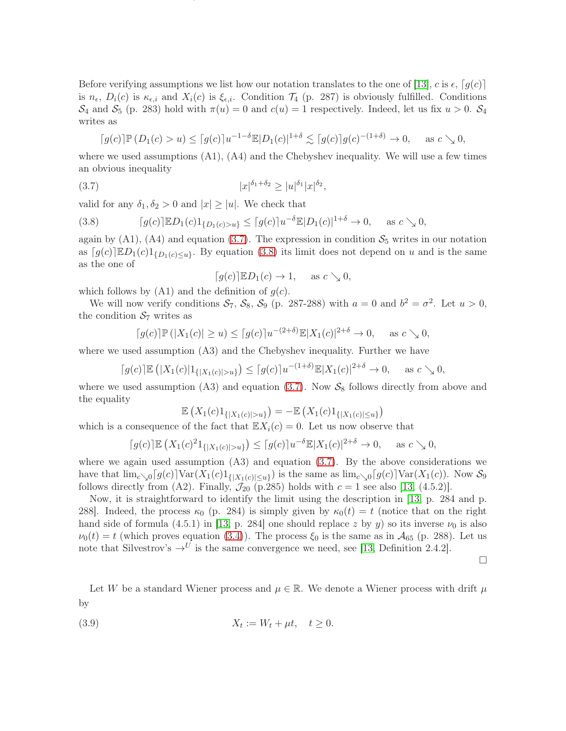Before verifying assumptions we list how our notation translates to the one of [\[13\]](#page-28-7), c is  $\epsilon$ , [g(c)] is  $n_{\epsilon}$ ,  $D_i(c)$  is  $\kappa_{\epsilon,i}$  and  $X_i(c)$  is  $\xi_{\epsilon,i}$ . Condition  $\mathcal{T}_4$  (p. 287) is obviously fulfilled. Conditions  $\mathcal{S}_4$  and  $\mathcal{S}_5$  (p. 283) hold with  $\pi(u) = 0$  and  $c(u) = 1$  respectively. Indeed, let us fix  $u > 0$ .  $\mathcal{S}_4$ writes as

ON TRUNCATED VARIATION, UPWARD TRUNCATED VARIATION AND DOWNWARD TRUNCATED VARIATION FOR DIFFUSIONS14

$$
\lceil g(c) \rceil \mathbb{P}(D_1(c) > u) \leq \lceil g(c) \rceil u^{-1-\delta} \mathbb{E}|D_1(c)|^{1+\delta} \lesssim \lceil g(c) \rceil g(c)^{-(1+\delta)} \to 0, \quad \text{as } c \searrow 0,
$$

where we used assumptions  $(A1)$ ,  $(A4)$  and the Chebyshev inequality. We will use a few times an obvious inequality

(3.7) 
$$
|x|^{\delta_1+\delta_2} \ge |u|^{\delta_1} |x|^{\delta_2},
$$

valid for any  $\delta_1, \delta_2 > 0$  and  $|x| \ge |u|$ . We check that

<span id="page-13-1"></span>(3.8) 
$$
\lceil g(c) \rceil \mathbb{E} D_1(c) 1_{\{D_1(c) > u\}} \leq \lceil g(c) \rceil u^{-\delta} \mathbb{E} |D_1(c)|^{1+\delta} \to 0, \quad \text{as } c \searrow 0,
$$

again by (A1), (A4) and equation [\(3.7\)](#page-13-0). The expression in condition  $S_5$  writes in our notation as  $[g(c)] \mathbb{E} D_1(c) 1_{\{D_1(c) \leq u\}}$ . By equation [\(3.8\)](#page-13-1) its limit does not depend on u and is the same as the one of

<span id="page-13-0"></span>
$$
[g(c)]\mathbb{E}D_1(c) \to 1, \quad \text{as } c \searrow 0,
$$

which follows by  $(A1)$  and the definition of  $g(c)$ .

We will now verify conditions  $S_7$ ,  $S_8$ ,  $S_9$  (p. 287-288) with  $a = 0$  and  $b^2 = \sigma^2$ . Let  $u > 0$ , the condition  $S_7$  writes as

$$
\lceil g(c) \rceil \mathbb{P}(|X_1(c)| \ge u) \le \lceil g(c) \rceil u^{-(2+\delta)} \mathbb{E}|X_1(c)|^{2+\delta} \to 0, \quad \text{as } c \searrow 0,
$$

where we used assumption (A3) and the Chebyshev inequality. Further we have

$$
\lceil g(c)\rceil \mathbb{E}\left(|X_1(c)|1_{\{|X_1(c)|>u\}}\right) \leq \lceil g(c)\rceil u^{-(1+\delta)} \mathbb{E}|X_1(c)|^{2+\delta} \to 0, \quad \text{as } c \searrow 0,
$$

where we used assumption (A3) and equation [\(3.7\)](#page-13-0). Now  $S_8$  follows directly from above and the equality

$$
\mathbb{E}\left(X_1(c)1_{\{|X_1(c)|>u\}}\right) = -\mathbb{E}\left(X_1(c)1_{\{|X_1(c)|\leq u\}}\right)
$$

which is a consequence of the fact that  $\mathbb{E}X_i(c) = 0$ . Let us now observe that

$$
\lceil g(c) \rceil \mathbb{E} \left( X_1(c)^2 1_{\{|X_1(c)| > u\}} \right) \le \lceil g(c) \rceil u^{-\delta} \mathbb{E} |X_1(c)|^{2+\delta} \to 0, \quad \text{as } c \searrow 0,
$$

where we again used assumption  $(A3)$  and equation  $(B.7)$ . By the above considerations we have that  $\lim_{c\to 0} [g(c)] \text{Var}(X_1(c)1_{\{|X_1(c)|\leq u\}})$  is the same as  $\lim_{c\to 0} [g(c)] \text{Var}(X_1(c))$ . Now  $S_9$ follows directly from (A2). Finally,  $\mathcal{J}_{20}$  (p.285) holds with  $c = 1$  see also [\[13,](#page-28-7) (4.5.2)].

Now, it is straightforward to identify the limit using the description in [\[13,](#page-28-7) p. 284 and p. 288. Indeed, the process  $\kappa_0$  (p. 284) is simply given by  $\kappa_0(t) = t$  (notice that on the right hand side of formula (4.5.1) in [\[13,](#page-28-7) p. 284] one should replace z by y) so its inverse  $\nu_0$  is also  $\nu_0(t) = t$  (which proves equation [\(3.4\)](#page-12-0)). The process  $\xi_0$  is the same as in  $\mathcal{A}_{65}$  (p. 288). Let us note that Silvestrov's  $\rightarrow$ <sup>U</sup> is the same convergence we need, see [\[13,](#page-28-7) Definition 2.4.2].

 $\Box$ 

Let W be a standard Wiener process and  $\mu \in \mathbb{R}$ . We denote a Wiener process with drift  $\mu$ by

<span id="page-13-2"></span>
$$
(3.9) \t\t X_t := W_t + \mu t, \quad t \ge 0.
$$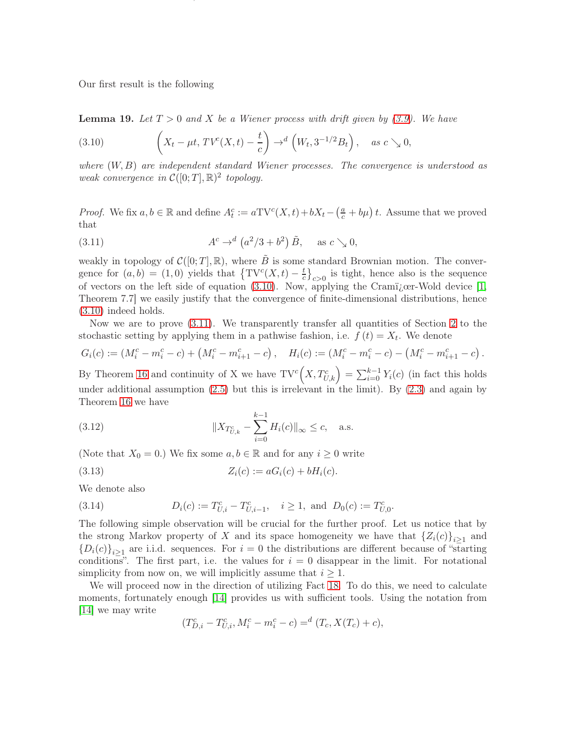Our first result is the following

<span id="page-14-5"></span>**Lemma 19.** Let  $T > 0$  and X be a Wiener process with drift given by  $(3.9)$ . We have

<span id="page-14-0"></span>(3.10) 
$$
\left(X_t - \mu t, TV^c(X, t) - \frac{t}{c}\right) \to^d \left(W_t, 3^{-1/2}B_t\right), \quad \text{as } c \searrow 0,
$$

where  $(W, B)$  are independent standard Wiener processes. The convergence is understood as weak convergence in  $\mathcal{C}([0;T], \mathbb{R})^2$  topology.

ON TRUNCATED VARIATION, UPWARD TRUNCATED VARIATION AND DOWNWARD TRUNCATED VARIATION FOR DIFFUSIONS15

*Proof.* We fix  $a, b \in \mathbb{R}$  and define  $A_t^c := aTV^c(X,t) + bX_t - \left(\frac{a}{c} + b\mu\right)t$ . Assume that we proved that

<span id="page-14-1"></span>(3.11) 
$$
A^c \to^d (a^2/3 + b^2) \tilde{B}, \text{ as } c \searrow 0,
$$

weakly in topology of  $\mathcal{C}([0; T], \mathbb{R})$ , where  $\tilde{B}$  is some standard Brownian motion. The convergence for  $(a, b) = (1, 0)$  yields that  $\{TV^{c}(X,t) - \frac{t}{c}\}$  $\left\{c \atop c \right\}_{c>0}$  is tight, hence also is the sequence of vectors on the left side of equation [\(3.10\)](#page-14-0). Now, applying the Cramizer-Wold device [\[1,](#page-28-10) Theorem 7.7] we easily justify that the convergence of finite-dimensional distributions, hence [\(3.10\)](#page-14-0) indeed holds.

Now we are to prove [\(3.11\)](#page-14-1). We transparently transfer all quantities of Section [2](#page-7-0) to the stochastic setting by applying them in a pathwise fashion, i.e.  $f(t) = X_t$ . We denote

$$
G_i(c) := (M_i^c - m_i^c - c) + (M_i^c - m_{i+1}^c - c), \quad H_i(c) := (M_i^c - m_i^c - c) - (M_i^c - m_{i+1}^c - c).
$$

By Theorem [16](#page-9-0) and continuity of X we have  $\mathrm{TV}^c(X, T_{U,k}^c) = \sum_{i=0}^{k-1} Y_i(c)$  (in fact this holds under additional assumption  $(2.5)$  but this is irrelevant in the limit). By  $(2.3)$  and again by Theorem [16](#page-9-0) we have

<span id="page-14-4"></span>(3.12) 
$$
||X_{T_{U,k}^c} - \sum_{i=0}^{k-1} H_i(c)||_{\infty} \le c, \quad \text{a.s.}
$$

(Note that  $X_0 = 0$ .) We fix some  $a, b \in \mathbb{R}$  and for any  $i \geq 0$  write

<span id="page-14-2"></span>(3.13) 
$$
Z_i(c) := aG_i(c) + bH_i(c).
$$

We denote also

<span id="page-14-3"></span>(3.14) 
$$
D_i(c) := T_{U,i}^c - T_{U,i-1}^c, \quad i \ge 1, \text{ and } D_0(c) := T_{U,0}^c.
$$

The following simple observation will be crucial for the further proof. Let us notice that by the strong Markov property of X and its space homogeneity we have that  $\{Z_i(c)\}_{i\geq 1}$  and  ${D_i(c)}_{i\geq 1}$  are i.i.d. sequences. For  $i=0$  the distributions are different because of "starting" conditions". The first part, i.e. the values for  $i = 0$  disappear in the limit. For notational simplicity from now on, we will implicitly assume that  $i \geq 1$ .

We will proceed now in the direction of utilizing Fact [18.](#page-12-1) To do this, we need to calculate moments, fortunately enough [\[14\]](#page-28-11) provides us with sufficient tools. Using the notation from [\[14\]](#page-28-11) we may write

$$
(T_{D,i}^c - T_{U,i}^c, M_i^c - m_i^c - c) =^d (T_c, X(T_c) + c),
$$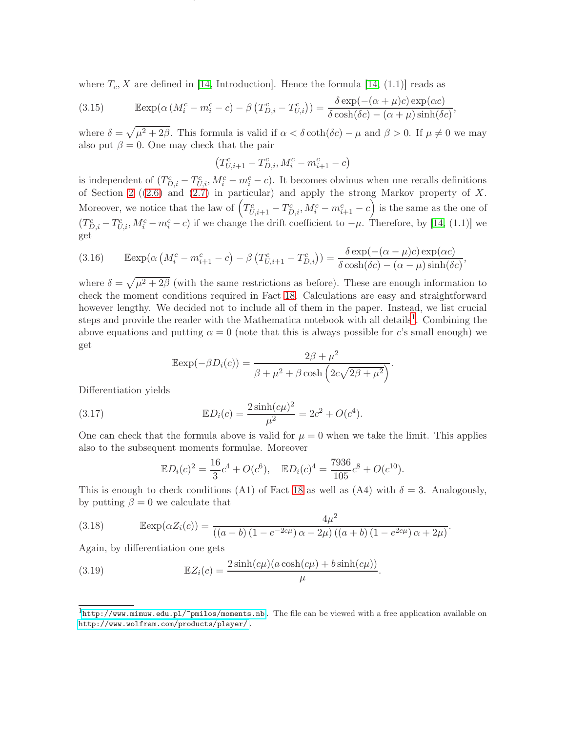where  $T_c$ , X are defined in [\[14,](#page-28-11) Introduction]. Hence the formula [14, (1.1)] reads as

<span id="page-15-0"></span>(3.15) 
$$
\mathbb{E}\exp(\alpha \left(M_i^c - m_i^c - c\right) - \beta \left(T_{D,i}^c - T_{U,i}^c\right)) = \frac{\delta \exp(-( \alpha + \mu)c) \exp(\alpha c)}{\delta \cosh(\delta c) - (\alpha + \mu)\sinh(\delta c)},
$$

where  $\delta = \sqrt{\mu^2 + 2\beta}$ . This formula is valid if  $\alpha < \delta \coth(\delta c) - \mu$  and  $\beta > 0$ . If  $\mu \neq 0$  we may also put  $\beta = 0$ . One may check that the pair

ON TRUNCATED VARIATION, UPWARD TRUNCATED VARIATION AND DOWNWARD TRUNCATED VARIATION FOR DIFFUSIONS16

$$
\left(T_{U,i+1}^c-T_{D,i}^c,M_i^c-m_{i+1}^c-c\right)
$$

is independent of  $(T_{D,i}^c - T_{U,i}^c, M_i^c - m_i^c - c)$ . It becomes obvious when one recalls definitions of Section [2](#page-7-0) ([\(2.6\)](#page-9-1) and [\(2.7\)](#page-9-2) in particular) and apply the strong Markov property of X. Moreover, we notice that the law of  $\left(T_{U,i+1}^c - T_{D,i}^c, M_i^c - m_{i+1}^c - c\right)$  is the same as the one of  $(T_{D,i}^c - T_{U,i}^c, M_i^c - m_i^c - c)$  if we change the drift coefficient to  $-\mu$ . Therefore, by [\[14,](#page-28-11) (1.1)] we get

(3.16) 
$$
\operatorname{Eexp}(\alpha \left( M_i^c - m_{i+1}^c - c \right) - \beta \left( T_{U,i+1}^c - T_{D,i}^c \right)) = \frac{\delta \exp(-( \alpha - \mu)c) \exp(\alpha c)}{\delta \cosh(\delta c) - (\alpha - \mu) \sinh(\delta c)},
$$

where  $\delta = \sqrt{\mu^2 + 2\beta}$  (with the same restrictions as before). These are enough information to check the moment conditions required in Fact [18.](#page-12-1) Calculations are easy and straightforward however lengthy. We decided not to include all of them in the paper. Instead, we list crucial steps and provide the reader with the Mathematica notebook with all details<sup>[1](#page-15-1)</sup>. Combining the above equations and putting  $\alpha = 0$  (note that this is always possible for c's small enough) we get

<span id="page-15-3"></span>
$$
\mathbb{E}\exp(-\beta D_i(c)) = \frac{2\beta + \mu^2}{\beta + \mu^2 + \beta \cosh\left(2c\sqrt{2\beta + \mu^2}\right)}.
$$

Differentiation yields

(3.17) 
$$
\mathbb{E}D_i(c) = \frac{2\sinh(c\mu)^2}{\mu^2} = 2c^2 + O(c^4).
$$

One can check that the formula above is valid for  $\mu = 0$  when we take the limit. This applies also to the subsequent moments formulae. Moreover

$$
\mathbb{E}D_i(c)^2 = \frac{16}{3}c^4 + O(c^6), \quad \mathbb{E}D_i(c)^4 = \frac{7936}{105}c^8 + O(c^{10}).
$$

This is enough to check conditions (A1) of Fact [18](#page-12-1) as well as (A4) with  $\delta = 3$ . Analogously, by putting  $\beta = 0$  we calculate that

<span id="page-15-2"></span>(3.18) 
$$
\mathbb{E} \exp(\alpha Z_i(c)) = \frac{4\mu^2}{((a-b)(1-e^{-2c\mu})\alpha - 2\mu)((a+b)(1-e^{2c\mu})\alpha + 2\mu)}.
$$

Again, by differentiation one gets

<span id="page-15-4"></span>(3.19) 
$$
\mathbb{E}Z_i(c) = \frac{2\sinh(c\mu)(a\cosh(c\mu) + b\sinh(c\mu))}{\mu}.
$$

<span id="page-15-1"></span> ${}^{1}$ [http://www.mimuw.edu.pl/~pmilos/moments.nb.](http://www.mimuw.edu.pl/~pmilos/moments.nb) The file can be viewed with a free application available on [http://www.wolfram.com/products/player/.](http://www.wolfram.com/products/player/)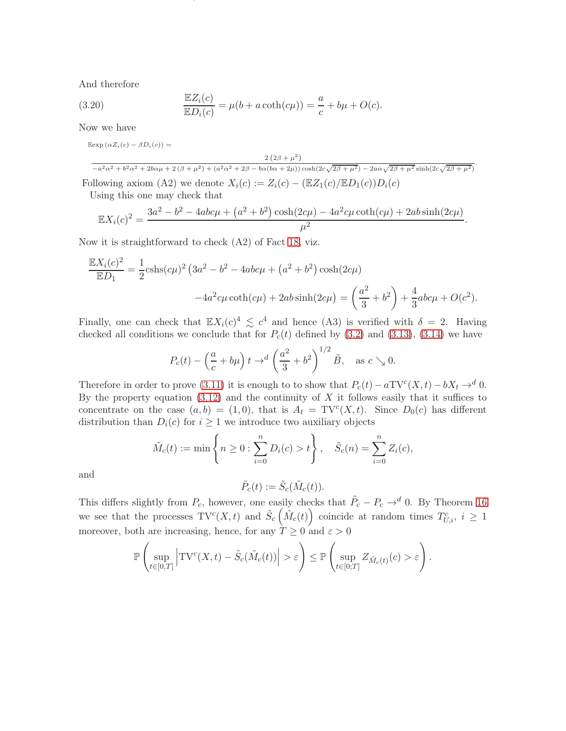And therefore

(3.20) 
$$
\frac{\mathbb{E}Z_i(c)}{\mathbb{E}D_i(c)} = \mu(b + a \coth(c\mu)) = \frac{a}{c} + b\mu + O(c).
$$

Now we have

 $\mathbb{E} \exp (\alpha Z_i(c) - \beta D_i(c)) =$ 

<span id="page-16-0"></span> $2(2\beta + \mu^2)$ 

ON TRUNCATED VARIATION, UPWARD TRUNCATED VARIATION AND DOWNWARD TRUNCATED VARIATION FOR DIFFUSIONS17

 $-\frac{a^2\alpha^2 + b^2\alpha^2 + 2b\alpha\mu + 2(\beta + \mu^2) + (a^2\alpha^2 + 2\beta - b\alpha(b\alpha + 2\mu))\cosh(2c\sqrt{2\beta + \mu^2}) - 2a\alpha\sqrt{2\beta + \mu^2}\sinh(2c\sqrt{2\beta + \mu^2})}$ Following axiom (A2) we denote  $X_i(c) := Z_i(c) - (\mathbb{E}Z_1(c)/\mathbb{E}D_1(c))D_i(c)$ 

Using this one may check that

$$
\mathbb{E}X_i(c)^2 = \frac{3a^2 - b^2 - 4abc\mu + (a^2 + b^2)\cosh(2c\mu) - 4a^2c\mu\coth(c\mu) + 2ab\sinh(2c\mu)}{\mu^2}.
$$

Now it is straightforward to check (A2) of Fact [18,](#page-12-1) viz.

$$
\frac{\mathbb{E}X_i(c)^2}{\mathbb{E}D_1} = \frac{1}{2}\text{cshs}(c\mu)^2 \left(3a^2 - b^2 - 4abc\mu + (a^2 + b^2)\cosh(2c\mu) -4a^2c\mu\coth(c\mu) + 2ab\sinh(2c\mu) - \left(\frac{a^2}{3} + b^2\right) + \frac{4}{3}abc\mu + O(c^2).
$$

Finally, one can check that  $\mathbb{E} X_i(c)^4 \lesssim c^4$  and hence (A3) is verified with  $\delta = 2$ . Having checked all conditions we conclude that for  $P_c(t)$  defined by [\(3.2\)](#page-11-3) and [\(3.13\)](#page-14-2), [\(3.14\)](#page-14-3) we have

$$
P_c(t) - \left(\frac{a}{c} + b\mu\right)t \to d\left(\frac{a^2}{3} + b^2\right)^{1/2} \tilde{B}, \text{ as } c \searrow 0.
$$

Therefore in order to prove [\(3.11\)](#page-14-1) it is enough to to show that  $P_c(t) - aTV^c(X,t) - bX_t \rightarrow^d 0$ . By the property equation  $(3.12)$  and the continuity of X it follows easily that it suffices to concentrate on the case  $(a, b) = (1, 0)$ , that is  $A_t = TV^c(X, t)$ . Since  $D_0(c)$  has different distribution than  $D_i(c)$  for  $i \geq 1$  we introduce two auxiliary objects

$$
\tilde{M}_c(t) := \min \left\{ n \ge 0 : \sum_{i=0}^n D_i(c) > t \right\}, \quad \tilde{S}_c(n) = \sum_{i=0}^n Z_i(c),
$$

and

$$
\tilde{P}_c(t) := \tilde{S}_c(\tilde{M}_c(t)).
$$

This differs slightly from  $P_c$ , however, one easily checks that  $\tilde{P}_c - P_c \rightarrow^d 0$ . By Theorem [16](#page-9-0) we see that the processes  $\mathrm{TV}^c(X,t)$  and  $\tilde{S}_c\left(\tilde{M}_c(t)\right)$  coincide at random times  $T_{U,i}^c$ ,  $i \geq 1$ moreover, both are increasing, hence, for any  $\grave{T}\geq 0$  and  $\varepsilon>0$ 

$$
\mathbb{P}\left(\sup_{t\in[0,T]}\left|\mathrm{TV}^c(X,t)-\tilde{S}_c(\tilde{M}_c(t))\right|>\varepsilon\right)\leq \mathbb{P}\left(\sup_{t\in[0,T]}Z_{\tilde{M}_c(t)}(c)>\varepsilon\right).
$$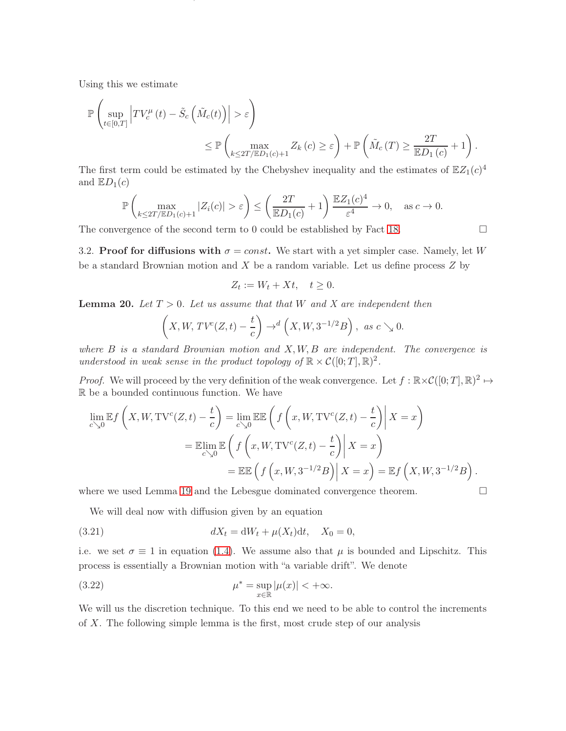Using this we estimate

$$
\mathbb{P}\left(\sup_{t\in[0,T]}\left|TV_c^{\mu}(t)-\tilde{S}_c\left(\tilde{M}_c(t)\right)\right|>\varepsilon\right)
$$
  
\$\leq \mathbb{P}\left(\max\_{k\leq 2T/ED\_1(c)+1} Z\_k(c)\geq \varepsilon\right)+\mathbb{P}\left(\tilde{M}\_c(T)\geq \frac{2T}{ED\_1(c)}+1\right).

ON TRUNCATED VARIATION, UPWARD TRUNCATED VARIATION AND DOWNWARD TRUNCATED VARIATION FOR DIFFUSIONS18

The first term could be estimated by the Chebyshev inequality and the estimates of  $\mathbb{E}Z_1(c)^4$ and  $\mathbb{E}D_1(c)$ 

$$
\mathbb{P}\left(\max_{k\leq 2T/\mathbb{E}D_1(c)+1}|Z_i(c)|>\varepsilon\right)\leq \left(\frac{2T}{\mathbb{E}D_1(c)}+1\right)\frac{\mathbb{E}Z_1(c)^4}{\varepsilon^4}\to 0,\quad \text{as }c\to 0.
$$

The convergence of the second term to 0 could be established by Fact [18.](#page-12-1)  $\Box$ 

3.2. Proof for diffusions with  $\sigma = const.$  We start with a yet simpler case. Namely, let W be a standard Brownian motion and  $X$  be a random variable. Let us define process  $Z$  by

$$
Z_t := W_t + Xt, \quad t \ge 0.
$$

<span id="page-17-1"></span>**Lemma 20.** Let  $T > 0$ . Let us assume that that W and X are independent then

$$
\left(X, W, TV^{c}(Z,t) - \frac{t}{c}\right) \to^{d} \left(X, W, 3^{-1/2}B\right), \text{ as } c \searrow 0.
$$

where  $B$  is a standard Brownian motion and  $X, W, B$  are independent. The convergence is understood in weak sense in the product topology of  $\mathbb{R} \times \mathcal{C}([0;T], \mathbb{R})^2$ .

*Proof.* We will proceed by the very definition of the weak convergence. Let  $f : \mathbb{R} \times \mathcal{C}([0;T], \mathbb{R})^2 \mapsto$ R be a bounded continuous function. We have

$$
\lim_{c \searrow 0} \mathbb{E}f\left(X, W, \text{TV}^c(Z, t) - \frac{t}{c}\right) = \lim_{c \searrow 0} \mathbb{E} \mathbb{E}\left(f\left(x, W, \text{TV}^c(Z, t) - \frac{t}{c}\right) \middle| X = x\right)
$$
\n
$$
= \mathbb{E} \lim_{c \searrow 0} \mathbb{E}\left(f\left(x, W, \text{TV}^c(Z, t) - \frac{t}{c}\right) \middle| X = x\right)
$$
\n
$$
= \mathbb{E} \mathbb{E}\left(f\left(x, W, 3^{-1/2}B\right) \middle| X = x\right) = \mathbb{E}f\left(X, W, 3^{-1/2}B\right).
$$

where we used Lemma [19](#page-14-5) and the Lebesgue dominated convergence theorem.

<span id="page-17-0"></span>We will deal now with diffusion given by an equation

(3.21) 
$$
dX_t = dW_t + \mu(X_t)dt, \quad X_0 = 0,
$$

i.e. we set  $\sigma \equiv 1$  in equation [\(1.4\)](#page-3-3). We assume also that  $\mu$  is bounded and Lipschitz. This process is essentially a Brownian motion with "a variable drift". We denote

(3.22) 
$$
\mu^* = \sup_{x \in \mathbb{R}} |\mu(x)| < +\infty.
$$

We will us the discretion technique. To this end we need to be able to control the increments of X. The following simple lemma is the first, most crude step of our analysis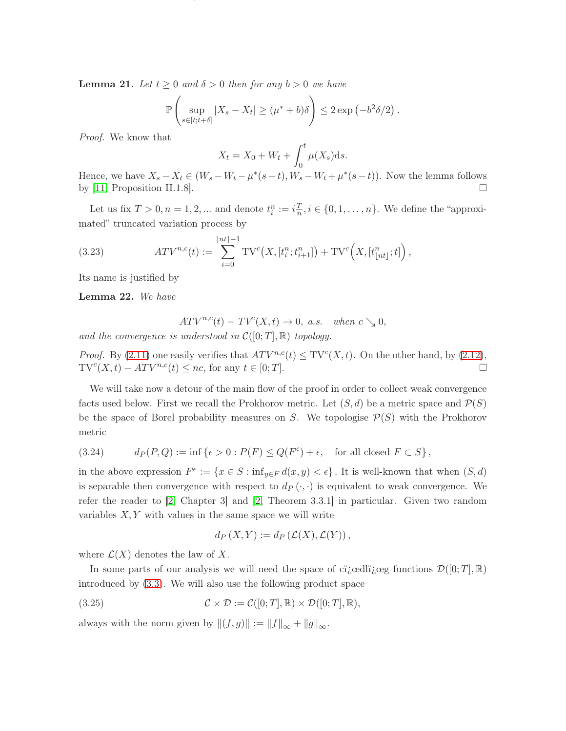<span id="page-18-0"></span>**Lemma 21.** Let  $t \geq 0$  and  $\delta > 0$  then for any  $b > 0$  we have

$$
\mathbb{P}\left(\sup_{s\in[t;t+\delta]}|X_s-X_t|\geq(\mu^*+b)\delta\right)\leq 2\exp\left(-b^2\delta/2\right).
$$

ON TRUNCATED VARIATION, UPWARD TRUNCATED VARIATION AND DOWNWARD TRUNCATED VARIATION FOR DIFFUSIONS19

Proof. We know that

$$
X_t = X_0 + W_t + \int_0^t \mu(X_s) \mathrm{d} s.
$$

Hence, we have  $X_s - X_t \in (W_s - W_t - \mu^*(s-t), W_s - W_t + \mu^*(s-t))$ . Now the lemma follows by [\[11,](#page-28-3) Proposition II.1.8].

Let us fix  $T > 0, n = 1, 2, ...$  and denote  $t_i^n := i \frac{T}{n}$  $\frac{T}{n}, i \in \{0, 1, \ldots, n\}$ . We define the "approximated" truncated variation process by

<span id="page-18-1"></span>(3.23) 
$$
ATV^{n,c}(t) := \sum_{i=0}^{\lfloor nt \rfloor - 1} TV^{c}(X, [t_i^n; t_{i+1}^n]) + TV^{c}(X, [t_{\lfloor nt \rfloor}^n; t]),
$$

Its name is justified by

<span id="page-18-2"></span>Lemma 22. We have

 $ATV^{n,c}(t) - TV(X, t) \to 0$ , a.s. when  $c \searrow 0$ ,

and the convergence is understood in  $\mathcal{C}([0;T],\mathbb{R})$  topology.

*Proof.* By [\(2.11\)](#page-10-2) one easily verifies that  $ATV^{n,c}(t) \leq TV^c(X,t)$ . On the other hand, by [\(2.12\)](#page-10-3),  $\text{TV}^c(X, t) - ATV^{n,c}(t) \leq nc$ , for any  $t \in [0, T]$ .

We will take now a detour of the main flow of the proof in order to collect weak convergence facts used below. First we recall the Prokhorov metric. Let  $(S, d)$  be a metric space and  $\mathcal{P}(S)$ be the space of Borel probability measures on S. We topologise  $\mathcal{P}(S)$  with the Prokhorov metric

(3.24) 
$$
d_P(P,Q) := \inf \left\{ \epsilon > 0 : P(F) \leq Q(F^{\epsilon}) + \epsilon, \text{ for all closed } F \subset S \right\},
$$

in the above expression  $F^{\epsilon} := \{x \in S : \inf_{y \in F} d(x, y) < \epsilon\}$ . It is well-known that when  $(S, d)$ is separable then convergence with respect to  $d_P(\cdot, \cdot)$  is equivalent to weak convergence. We refer the reader to [\[2,](#page-28-12) Chapter 3] and [\[2,](#page-28-12) Theorem 3.3.1] in particular. Given two random variables  $X, Y$  with values in the same space we will write

<span id="page-18-3"></span>
$$
d_P(X,Y) := d_P(\mathcal{L}(X), \mathcal{L}(Y)),
$$

where  $\mathcal{L}(X)$  denotes the law of X.

In some parts of our analysis we will need the space of cigoedlig generators  $\mathcal{D}([0; T], \mathbb{R})$ introduced by [\(3.3\)](#page-12-2). We will also use the following product space

(3.25) 
$$
\mathcal{C} \times \mathcal{D} := \mathcal{C}([0;T], \mathbb{R}) \times \mathcal{D}([0;T], \mathbb{R}),
$$

always with the norm given by  $||(f, g)|| := ||f||_{\infty} + ||g||_{\infty}$ .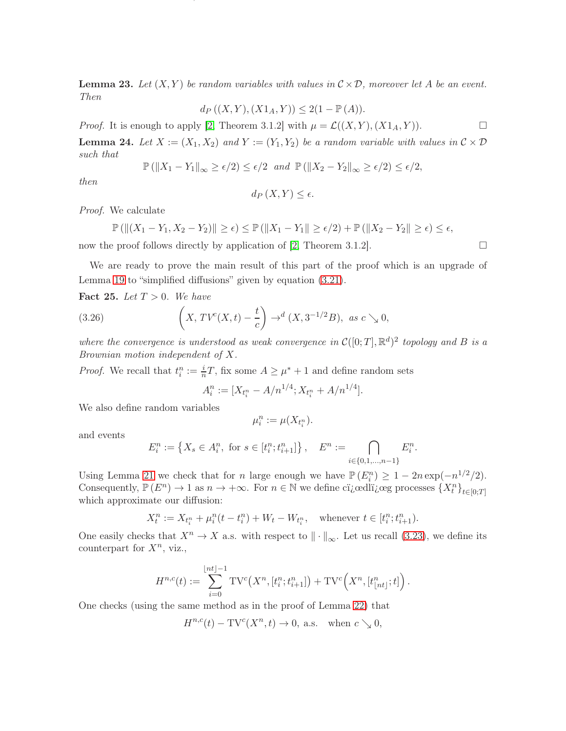<span id="page-19-1"></span>**Lemma 23.** Let  $(X, Y)$  be random variables with values in  $C \times D$ , moreover let A be an event. Then

ON TRUNCATED VARIATION, UPWARD TRUNCATED VARIATION AND DOWNWARD TRUNCATED VARIATION FOR DIFFUSIONS20

$$
d_P ((X,Y), (X1_A, Y)) \le 2(1 - \mathbb{P}(A)).
$$

*Proof.* It is enough to apply [\[2,](#page-28-12) Theorem 3.1.2] with  $\mu = \mathcal{L}((X, Y), (X1_A, Y))$ .

<span id="page-19-0"></span>**Lemma 24.** Let  $X := (X_1, X_2)$  and  $Y := (Y_1, Y_2)$  be a random variable with values in  $C \times D$ such that

$$
\mathbb{P}\left(\|X_1 - Y_1\|_{\infty} \ge \epsilon/2\right) \le \epsilon/2 \text{ and } \mathbb{P}\left(\|X_2 - Y_2\|_{\infty} \ge \epsilon/2\right) \le \epsilon/2,
$$

then

$$
d_P\left(X,Y\right) \leq \epsilon.
$$

Proof. We calculate

$$
\mathbb{P}\left(\left\|(X_1-Y_1,X_2-Y_2)\right\|\geq \epsilon\right)\leq \mathbb{P}\left(\|X_1-Y_1\|\geq \epsilon/2\right)+\mathbb{P}\left(\|X_2-Y_2\|\geq \epsilon\right)\leq \epsilon,
$$

now the proof follows directly by application of [\[2,](#page-28-12) Theorem 3.1.2].  $\square$ 

We are ready to prove the main result of this part of the proof which is an upgrade of Lemma [19](#page-14-5) to "simplified diffusions" given by equation  $(3.21)$ .

<span id="page-19-3"></span>Fact 25. Let  $T > 0$ . We have

(3.26) 
$$
\left(X, TV^{c}(X,t) - \frac{t}{c}\right) \to^{d} (X, 3^{-1/2}B), \text{ as } c \searrow 0,
$$

where the convergence is understood as weak convergence in  $\mathcal{C}([0;T], \mathbb{R}^d)^2$  topology and B is a Brownian motion independent of X.

*Proof.* We recall that  $t_i^n := \frac{i}{n}T$ , fix some  $A \geq \mu^* + 1$  and define random sets

<span id="page-19-2"></span>
$$
A_i^n := [X_{t_i^n} - A/n^{1/4}; X_{t_i^n} + A/n^{1/4}].
$$

We also define random variables

$$
\mu_i^n := \mu(X_{t_i^n}).
$$

and events

$$
E_i^n := \left\{ X_s \in A_i^n, \text{ for } s \in [t_i^n; t_{i+1}^n] \right\}, \quad E^n := \bigcap_{i \in \{0, 1, \dots, n-1\}} E_i^n.
$$

Using Lemma [21](#page-18-0) we check that for *n* large enough we have  $\mathbb{P}(E_i^n) \geq 1 - 2n \exp(-n^{1/2}/2)$ . Consequently,  $\mathbb{P}(E^n) \to 1$  as  $n \to +\infty$ . For  $n \in \mathbb{N}$  we define cigalliguare processes  $\{X_t^n\}_{t\in[0;T]}$ which approximate our diffusion:

$$
X_t^n := X_{t_i^n} + \mu_i^n(t - t_i^n) + W_t - W_{t_i^n}, \quad \text{whenever } t \in [t_i^n; t_{i+1}^n).
$$

One easily checks that  $X^n \to X$  a.s. with respect to  $\|\cdot\|_{\infty}$ . Let us recall [\(3.23\)](#page-18-1), we define its counterpart for  $X^n$ , viz.,

$$
H^{n,c}(t):=\sum_{i=0}^{\lfloor nt \rfloor-1}\mathrm{TV}^{c}\big(X^n,[t_i^n;t_{i+1}^n]\big)+\mathrm{TV}^{c}\Big(X^n,[t_{\lfloor nt \rfloor}^n;t]\Big)\,.
$$

One checks (using the same method as in the proof of Lemma [22\)](#page-18-2) that

$$
H^{n,c}(t) - \mathrm{TV}^c(X^n, t) \to 0, \text{ a.s. when } c \searrow 0,
$$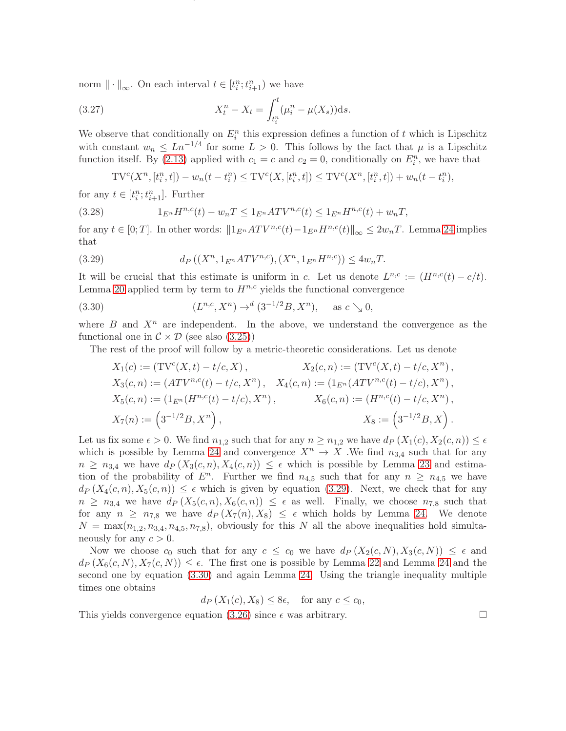norm  $\|\cdot\|_{\infty}$ . On each interval  $t \in [t_i^n; t_{i+1}^n)$  we have

(3.27) 
$$
X_t^n - X_t = \int_{t_i^n}^t (\mu_i^n - \mu(X_s)) ds.
$$

We observe that conditionally on  $E_i^n$  this expression defines a function of t which is Lipschitz with constant  $w_n \n\t\leq Ln^{-1/4}$  for some  $L > 0$ . This follows by the fact that  $\mu$  is a Lipschitz function itself. By [\(2.13\)](#page-10-4) applied with  $c_1 = c$  and  $c_2 = 0$ , conditionally on  $E_i^n$ , we have that

ON TRUNCATED VARIATION, UPWARD TRUNCATED VARIATION AND DOWNWARD TRUNCATED VARIATION FOR DIFFUSIONS21

<span id="page-20-2"></span>
$$
TV^{c}(X^{n}, [t_{i}^{n}, t]) - w_{n}(t - t_{i}^{n}) \leq TV^{c}(X, [t_{i}^{n}, t]) \leq TV^{c}(X^{n}, [t_{i}^{n}, t]) + w_{n}(t - t_{i}^{n}),
$$

for any  $t \in [t_i^n; t_{i+1}^n]$ . Further

(3.28) 
$$
1_{E^n}H^{n,c}(t) - w_nT \leq 1_{E^n}ATV^{n,c}(t) \leq 1_{E^n}H^{n,c}(t) + w_nT,
$$

for any  $t \in [0;T]$ . In other words:  $||1_{E^n} A TV^{n,c}(t) - 1_{E^n} H^{n,c}(t)||_{\infty} \leq 2w_nT$ . Lemma [24](#page-19-0) implies that

<span id="page-20-0"></span>(3.29) 
$$
d_P((X^n, 1_{E^n}ATV^{n,c}), (X^n, 1_{E^n}H^{n,c})) \le 4w_nT.
$$

It will be crucial that this estimate is uniform in c. Let us denote  $L^{n,c} := (H^{n,c}(t) - c/t)$ . Lemma [20](#page-17-1) applied term by term to  $H^{n,c}$  yields the functional convergence

(3.30) 
$$
(L^{n,c}, X^n) \to^d (3^{-1/2}B, X^n), \text{ as } c \searrow 0,
$$

where  $B$  and  $X^n$  are independent. In the above, we understand the convergence as the functional one in  $\mathcal{C} \times \mathcal{D}$  (see also [\(3.25\)](#page-18-3))

The rest of the proof will follow by a metric-theoretic considerations. Let us denote

<span id="page-20-1"></span>
$$
X_1(c) := (\mathrm{TV}^c(X, t) - t/c, X), \qquad X_2(c, n) := (\mathrm{TV}^c(X, t) - t/c, X^n),
$$
  
\n
$$
X_3(c, n) := (ATV^{n,c}(t) - t/c, X^n), \qquad X_4(c, n) := (1_{E^n}(ATV^{n,c}(t) - t/c), X^n),
$$
  
\n
$$
X_5(c, n) := (1_{E^n}(H^{n,c}(t) - t/c), X^n), \qquad X_6(c, n) := (H^{n,c}(t) - t/c, X^n),
$$
  
\n
$$
X_7(n) := \left(3^{-1/2}B, X^n\right), \qquad X_8 := \left(3^{-1/2}B, X\right).
$$

Let us fix some  $\epsilon > 0$ . We find  $n_{1,2}$  such that for any  $n \geq n_{1,2}$  we have  $d_P(X_1(c), X_2(c, n)) \leq \epsilon$ which is possible by Lemma [24](#page-19-0) and convergence  $X^n \to X$ . We find  $n_{3,4}$  such that for any  $n \geq n_{3,4}$  we have  $d_P(X_3(c,n), X_4(c,n)) \leq \epsilon$  which is possible by Lemma [23](#page-19-1) and estimation of the probability of  $E^n$ . Further we find  $n_{4,5}$  such that for any  $n \geq n_{4,5}$  we have  $d_P(X_4(c, n), X_5(c, n)) \leq \epsilon$  which is given by equation [\(3.29\)](#page-20-0). Next, we check that for any  $n \geq n_{3,4}$  we have  $d_P(X_5(c, n), X_6(c, n)) \leq \epsilon$  as well. Finally, we choose  $n_{7,8}$  such that for any  $n \geq n_{7,8}$  we have  $d_P(X_7(n), X_8) \leq \epsilon$  which holds by Lemma [24.](#page-19-0) We denote  $N = \max(n_{1,2}, n_{3,4}, n_{4,5}, n_{7,8})$ , obviously for this N all the above inequalities hold simultaneously for any  $c > 0$ .

Now we choose  $c_0$  such that for any  $c \leq c_0$  we have  $d_P(X_2(c, N), X_3(c, N)) \leq \epsilon$  and  $d_P(X_6(c, N), X_7(c, N)) \leq \epsilon$ . The first one is possible by Lemma [22](#page-18-2) and Lemma [24](#page-19-0) and the second one by equation [\(3.30\)](#page-20-1) and again Lemma [24.](#page-19-0) Using the triangle inequality multiple times one obtains

$$
d_P\left(X_1(c), X_8\right) \le 8\epsilon, \quad \text{for any } c \le c_0,
$$

This yields convergence equation [\(3.26\)](#page-19-2) since  $\epsilon$  was arbitrary.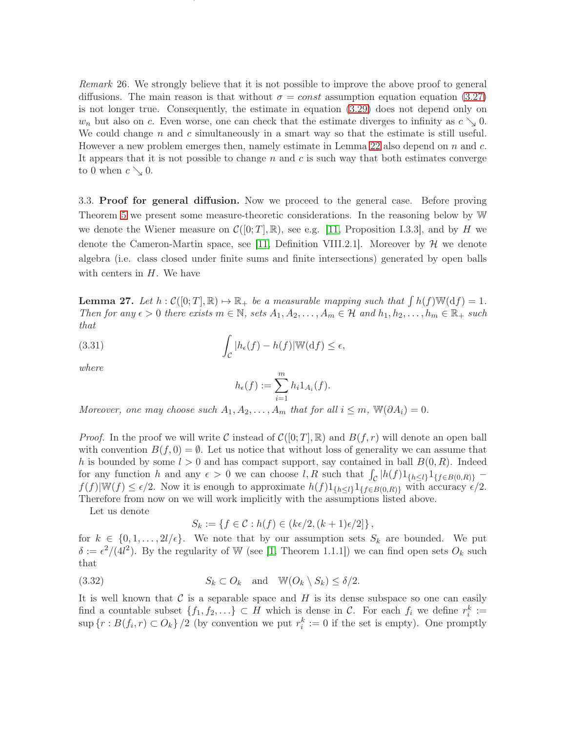<span id="page-21-0"></span>Remark 26. We strongly believe that it is not possible to improve the above proof to general diffusions. The main reason is that without  $\sigma = const$  assumption equation equation [\(3.27\)](#page-20-2) is not longer true. Consequently, the estimate in equation [\(3.29\)](#page-20-0) does not depend only on  $w_n$  but also on c. Even worse, one can check that the estimate diverges to infinity as  $c \searrow 0$ . We could change  $n$  and  $c$  simultaneously in a smart way so that the estimate is still useful. However a new problem emerges then, namely estimate in Lemma [22](#page-18-2) also depend on  $n$  and  $c$ . It appears that it is not possible to change  $n$  and  $c$  is such way that both estimates converge to 0 when  $c \searrow 0$ .

ON TRUNCATED VARIATION, UPWARD TRUNCATED VARIATION AND DOWNWARD TRUNCATED VARIATION FOR DIFFUSIONS22

3.3. Proof for general diffusion. Now we proceed to the general case. Before proving Theorem [5](#page-3-0) we present some measure-theoretic considerations. In the reasoning below by W we denote the Wiener measure on  $\mathcal{C}([0; T], \mathbb{R})$ , see e.g. [\[11,](#page-28-3) Proposition I.3.3], and by H we denote the Cameron-Martin space, see [\[11,](#page-28-3) Definition VIII.2.1]. Moreover by  $\mathcal{H}$  we denote algebra (i.e. class closed under finite sums and finite intersections) generated by open balls with centers in  $H$ . We have

<span id="page-21-1"></span>**Lemma 27.** Let  $h : \mathcal{C}([0; T], \mathbb{R}) \to \mathbb{R}_+$  be a measurable mapping such that  $\int h(f) \mathbb{W}(\mathrm{d}f) = 1$ . Then for any  $\epsilon > 0$  there exists  $m \in \mathbb{N}$ , sets  $A_1, A_2, \ldots, A_m \in \mathcal{H}$  and  $h_1, h_2, \ldots, h_m \in \mathbb{R}_+$  such that

(3.31) 
$$
\int_{\mathcal{C}} |h_{\epsilon}(f) - h(f)| \mathbb{W}(\mathrm{d} f) \leq \epsilon,
$$

where

$$
h_{\epsilon}(f) := \sum_{i=1}^{m} h_i 1_{A_i}(f).
$$

Moreover, one may choose such  $A_1, A_2, \ldots, A_m$  that for all  $i \leq m$ ,  $\mathbb{W}(\partial A_i) = 0$ .

*Proof.* In the proof we will write C instead of  $C([0; T], \mathbb{R})$  and  $B(f, r)$  will denote an open ball with convention  $B(f, 0) = \emptyset$ . Let us notice that without loss of generality we can assume that h is bounded by some  $l > 0$  and has compact support, say contained in ball  $B(0, R)$ . Indeed for any function h and any  $\epsilon > 0$  we can choose l, R such that  $\int_{\mathcal{C}} |h(f)1_{\{h \leq l\}}1_{\{f \in B(0,R)\}}$  $f(f)|\mathbb{W}(f) \leq \epsilon/2$ . Now it is enough to approximate  $h(f)1_{\{h \leq l\}}1_{\{f \in B(0,R)\}}$  with accuracy  $\epsilon/2$ . Therefore from now on we will work implicitly with the assumptions listed above.

Let us denote

<span id="page-21-2"></span>
$$
S_k := \{ f \in \mathcal{C} : h(f) \in (k\epsilon/2, (k+1)\epsilon/2] \},
$$

for  $k \in \{0, 1, \ldots, 2l/\epsilon\}$ . We note that by our assumption sets  $S_k$  are bounded. We put  $\delta := \epsilon^2/(4l^2)$ . By the regularity of W (see [\[1,](#page-28-10) Theorem 1.1.1]) we can find open sets  $O_k$  such that

(3.32) 
$$
S_k \subset O_k \quad \text{and} \quad \mathbb{W}(O_k \setminus S_k) \le \delta/2.
$$

It is well known that  $\mathcal C$  is a separable space and  $H$  is its dense subspace so one can easily find a countable subset  $\{f_1, f_2, \ldots\} \subset H$  which is dense in C. For each  $f_i$  we define  $r_i^k :=$  $\sup\{r: B(f_i, r) \subset O_k\}/2$  (by convention we put  $r_i^k := 0$  if the set is empty). One promptly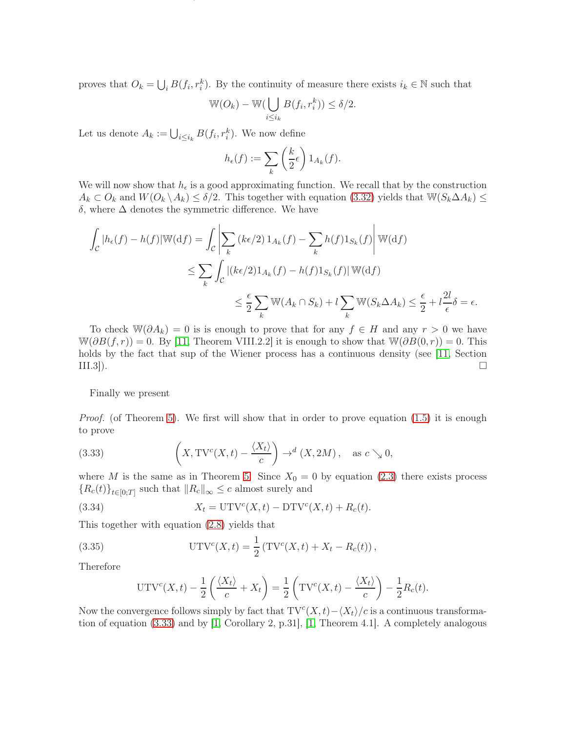proves that  $O_k = \bigcup_i B(f_i, r_i^k)$ . By the continuity of measure there exists  $i_k \in \mathbb{N}$  such that

$$
\mathbb{W}(O_k) - \mathbb{W}(\bigcup_{i \leq i_k} B(f_i, r_i^k)) \leq \delta/2.
$$

ON TRUNCATED VARIATION, UPWARD TRUNCATED VARIATION AND DOWNWARD TRUNCATED VARIATION FOR DIFFUSIONS23

Let us denote  $A_k := \bigcup_{i \leq i_k} B(f_i, r_i^k)$ . We now define

$$
h_{\epsilon}(f) := \sum_{k} \left(\frac{k}{2}\epsilon\right) 1_{A_k}(f).
$$

We will now show that  $h_{\epsilon}$  is a good approximating function. We recall that by the construction  $A_k \subset O_k$  and  $W(O_k \setminus A_k) \leq \delta/2$ . This together with equation [\(3.32\)](#page-21-2) yields that  $W(S_k \Delta A_k) \leq$ δ, where ∆ denotes the symmetric difference. We have

$$
\int_{\mathcal{C}} |h_{\epsilon}(f) - h(f)| \mathbb{W}(\mathrm{d}f) = \int_{\mathcal{C}} \left| \sum_{k} \left( k\epsilon/2 \right) 1_{A_{k}}(f) - \sum_{k} h(f) 1_{S_{k}}(f) \right| \mathbb{W}(\mathrm{d}f)
$$
\n
$$
\leq \sum_{k} \int_{\mathcal{C}} \left| \left( k\epsilon/2 \right) 1_{A_{k}}(f) - h(f) 1_{S_{k}}(f) \right| \mathbb{W}(\mathrm{d}f)
$$
\n
$$
\leq \frac{\epsilon}{2} \sum_{k} \mathbb{W}(A_{k} \cap S_{k}) + l \sum_{k} \mathbb{W}(S_{k} \Delta A_{k}) \leq \frac{\epsilon}{2} + l \frac{2l}{\epsilon} \delta = \epsilon.
$$

To check  $\mathbb{W}(\partial A_k) = 0$  is is enough to prove that for any  $f \in H$  and any  $r > 0$  we have  $\mathbb{W}(\partial B(f,r)) = 0$ . By [\[11,](#page-28-3) Theorem VIII.2.2] it is enough to show that  $\mathbb{W}(\partial B(0,r)) = 0$ . This holds by the fact that sup of the Wiener process has a continuous density (see [\[11,](#page-28-3) Section III.3]).  $\square$ 

Finally we present

*Proof.* (of Theorem [5\)](#page-3-0). We first will show that in order to prove equation  $(1.5)$  it is enough to prove

<span id="page-22-0"></span>(3.33) 
$$
\left(X, \mathrm{TV}^c(X,t) - \frac{\langle X_t \rangle}{c}\right) \to^d (X, 2M), \text{ as } c \searrow 0,
$$

where M is the same as in Theorem [5.](#page-3-0) Since  $X_0 = 0$  by equation [\(2.3\)](#page-7-4) there exists process  ${R_c(t)}_{t\in[0;T]}$  such that  $||R_c||_{\infty} \leq c$  almost surely and

(3.34) 
$$
X_t = \text{UTV}^c(X,t) - \text{DTV}^c(X,t) + R_c(t).
$$

This together with equation [\(2.8\)](#page-10-1) yields that

(3.35) 
$$
UTV^{c}(X,t) = \frac{1}{2} (TV^{c}(X,t) + X_{t} - R_{c}(t)),
$$

Therefore

<span id="page-22-1"></span>
$$
UTV^{c}(X,t) - \frac{1}{2}\left(\frac{\langle X_t \rangle}{c} + X_t\right) = \frac{1}{2}\left(TV^{c}(X,t) - \frac{\langle X_t \rangle}{c}\right) - \frac{1}{2}R_c(t).
$$

Now the convergence follows simply by fact that  $TV^{c}(X,t) - \langle X_t \rangle / c$  is a continuous transformation of equation [\(3.33\)](#page-22-0) and by [\[1,](#page-28-10) Corollary 2, p.31], [\[1,](#page-28-10) Theorem 4.1]. A completely analogous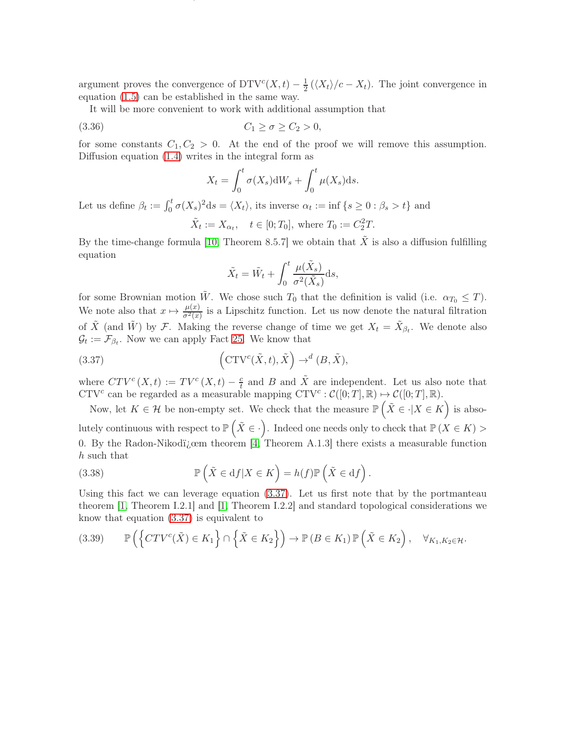argument proves the convergence of  $DTV^{c}(X,t) - \frac{1}{2}$  $\frac{1}{2}(\langle X_t \rangle/c - X_t)$ . The joint convergence in equation [\(1.5\)](#page-3-4) can be established in the same way.

ON TRUNCATED VARIATION, UPWARD TRUNCATED VARIATION AND DOWNWARD TRUNCATED VARIATION FOR DIFFUSIONS24

It will be more convenient to work with additional assumption that

$$
(3.36) \t C_1 \ge \sigma \ge C_2 > 0,
$$

for some constants  $C_1, C_2 > 0$ . At the end of the proof we will remove this assumption. Diffusion equation [\(1.4\)](#page-3-3) writes in the integral form as

<span id="page-23-3"></span>
$$
X_t = \int_0^t \sigma(X_s) dW_s + \int_0^t \mu(X_s) ds.
$$

Let us define  $\beta_t := \int_0^t \sigma(X_s)^2 ds = \langle X_t \rangle$ , its inverse  $\alpha_t := \inf \{ s \geq 0 : \beta_s > t \}$  and

 $\tilde{X}_t := X_{\alpha_t}, \quad t \in [0; T_0], \text{ where } T_0 := C_2^2 T.$ 

By the time-change formula [\[10,](#page-28-13) Theorem 8.5.7] we obtain that  $\tilde{X}$  is also a diffusion fulfilling equation

<span id="page-23-0"></span>
$$
\tilde{X}_t = \tilde{W}_t + \int_0^t \frac{\mu(\tilde{X}_s)}{\sigma^2(\tilde{X}_s)} ds,
$$

for some Brownian motion  $\tilde{W}$ . We chose such  $T_0$  that the definition is valid (i.e.  $\alpha_{T_0} \leq T$ ). We note also that  $x \mapsto \frac{\mu(x)}{\sigma^2(x)}$  is a Lipschitz function. Let us now denote the natural filtration of  $\tilde{X}$  (and  $\tilde{W}$ ) by F. Making the reverse change of time we get  $X_t = \tilde{X}_{\beta_t}$ . We denote also  $\mathcal{G}_t := \mathcal{F}_{\beta_t}$ . Now we can apply Fact [25.](#page-19-3) We know that

(3.37) 
$$
\left(\operatorname{CTV}^c(\tilde{X},t),\tilde{X}\right) \to^d (B,\tilde{X}),
$$

where  $CTV^{c}(X,t) := TV^{c}(X,t) - \frac{c}{t}$  and B and  $\tilde{X}$  are independent. Let us also note that CTV<sup>c</sup> can be regarded as a measurable mapping CTV<sup>c</sup>:  $\mathcal{C}([0;T], \mathbb{R}) \rightarrow \mathcal{C}([0;T], \mathbb{R})$ .

Now, let  $K \in \mathcal{H}$  be non-empty set. We check that the measure  $\mathbb{P}(\tilde{X} \in \cdot | X \in K)$  is absolutely continuous with respect to  $\mathbb{P}(\tilde{X} \in \cdot)$ . Indeed one needs only to check that  $\mathbb{P}(X \in K)$ 0. By the Radon-Nikodizoem theorem  $[4,$  Theorem A.1.3] there exists a measurable function h such that

<span id="page-23-1"></span>(3.38) 
$$
\mathbb{P}\left(\tilde{X} \in df | X \in K\right) = h(f)\mathbb{P}\left(\tilde{X} \in df\right).
$$

Using this fact we can leverage equation [\(3.37\)](#page-23-0). Let us first note that by the portmanteau theorem [\[1,](#page-28-10) Theorem I.2.1] and [\[1,](#page-28-10) Theorem I.2.2] and standard topological considerations we know that equation [\(3.37\)](#page-23-0) is equivalent to

<span id="page-23-2"></span>
$$
(3.39) \qquad \mathbb{P}\left(\left\{CTV^{c}(\tilde{X}) \in K_1\right\} \cap \left\{\tilde{X} \in K_2\right\}\right) \to \mathbb{P}\left(B \in K_1\right) \mathbb{P}\left(\tilde{X} \in K_2\right), \quad \forall_{K_1, K_2 \in \mathcal{H}}.
$$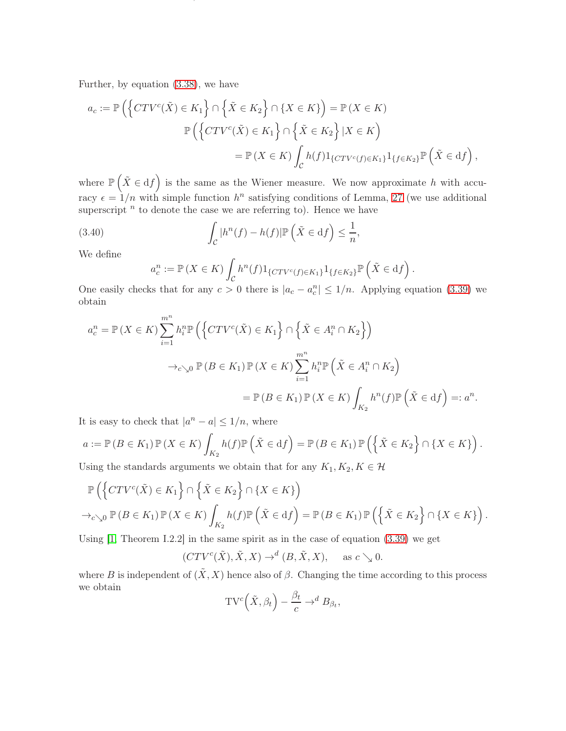Further, by equation [\(3.38\)](#page-23-1), we have

$$
a_c := \mathbb{P}\left(\left\{CTV^c(\tilde{X}) \in K_1\right\} \cap \left\{\tilde{X} \in K_2\right\} \cap \left\{X \in K\right\}\right) = \mathbb{P}\left(X \in K\right)
$$

$$
\mathbb{P}\left(\left\{CTV^c(\tilde{X}) \in K_1\right\} \cap \left\{\tilde{X} \in K_2\right\} | X \in K\right)
$$

$$
= \mathbb{P}\left(X \in K\right) \int_{\mathcal{C}} h(f) 1_{\left\{CTV^c(f) \in K_1\right\}} 1_{\left\{f \in K_2\right\}} \mathbb{P}\left(\tilde{X} \in df\right),
$$

ON TRUNCATED VARIATION, UPWARD TRUNCATED VARIATION AND DOWNWARD TRUNCATED VARIATION FOR DIFFUSIONS25

where  $\mathbb{P}\left(\tilde{X} \in df\right)$  is the same as the Wiener measure. We now approximate h with accuracy  $\epsilon = 1/n$  with simple function  $h^n$  satisfying conditions of Lemma, [27](#page-21-1) (we use additional superscript  $<sup>n</sup>$  to denote the case we are referring to). Hence we have</sup>

(3.40) 
$$
\int_{\mathcal{C}} |h^n(f) - h(f)| \mathbb{P}\left(\tilde{X} \in \mathrm{d}f\right) \leq \frac{1}{n},
$$

We define

$$
a_c^n := \mathbb{P}\left(X \in K\right) \int_{\mathcal{C}} h^n(f) 1_{\{CTV^c(f) \in K_1\}} 1_{\{f \in K_2\}} \mathbb{P}\left(\tilde{X} \in df\right).
$$

One easily checks that for any  $c > 0$  there is  $|a_c - a_c^n| \leq 1/n$ . Applying equation [\(3.39\)](#page-23-2) we obtain

$$
a_c^n = \mathbb{P}(X \in K) \sum_{i=1}^{m^n} h_i^n \mathbb{P}\left(\left\{CTV^c(\tilde{X}) \in K_1\right\} \cap \left\{\tilde{X} \in A_i^n \cap K_2\right\}\right)
$$

$$
\to_{c \searrow 0} \mathbb{P}(B \in K_1) \mathbb{P}(X \in K) \sum_{i=1}^{m^n} h_i^n \mathbb{P}\left(\tilde{X} \in A_i^n \cap K_2\right)
$$

$$
= \mathbb{P}(B \in K_1) \mathbb{P}(X \in K) \int_{K_2} h^n(f) \mathbb{P}\left(\tilde{X} \in df\right) =: a^n.
$$

It is easy to check that  $|a^n - a| \leq 1/n$ , where

$$
a := \mathbb{P}(B \in K_1) \mathbb{P}(X \in K) \int_{K_2} h(f) \mathbb{P}(\tilde{X} \in df) = \mathbb{P}(B \in K_1) \mathbb{P}(\{\tilde{X} \in K_2\} \cap \{X \in K\}).
$$

Using the standards arguments we obtain that for any  $K_1, K_2, K \in \mathcal{H}$ 

$$
\mathbb{P}\left(\left\{CTV^{c}(\tilde{X})\in K_{1}\right\}\cap\left\{\tilde{X}\in K_{2}\right\}\cap\left\{X\in K\right\}\right) \to_{c\searrow0}\mathbb{P}\left(B\in K_{1}\right)\mathbb{P}\left(X\in K\right)\int_{K_{2}}h(f)\mathbb{P}\left(\tilde{X}\in df\right)=\mathbb{P}\left(B\in K_{1}\right)\mathbb{P}\left(\left\{\tilde{X}\in K_{2}\right\}\cap\left\{X\in K\right\}\right).
$$

Using  $[1,$  Theorem I.2.2 in the same spirit as in the case of equation  $(3.39)$  we get

$$
(CTV^{c}(\tilde{X}), \tilde{X}, X) \to^{d} (B, \tilde{X}, X), \text{ as } c \searrow 0.
$$

where B is independent of  $(\tilde{X}, X)$  hence also of  $\beta$ . Changing the time according to this process we obtain

$$
TV^{c}(\tilde{X}, \beta_{t}) - \frac{\beta_{t}}{c} \to^{d} B_{\beta_{t}},
$$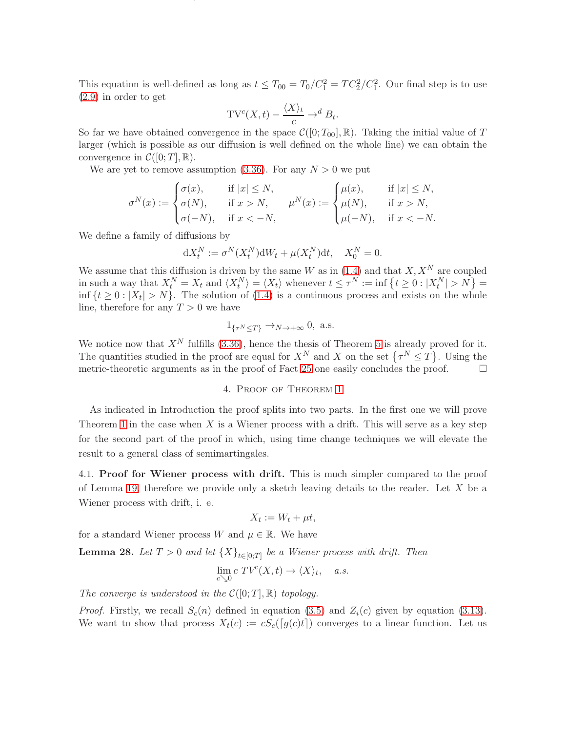This equation is well-defined as long as  $t \leq T_{00} = T_0/C_1^2 = TC_2^2/C_1^2$ . Our final step is to use [\(2.9\)](#page-10-5) in order to get

ON TRUNCATED VARIATION, UPWARD TRUNCATED VARIATION AND DOWNWARD TRUNCATED VARIATION FOR DIFFUSIONS26

$$
TV^{c}(X,t) - \frac{\langle X \rangle_{t}}{c} \to^{d} B_{t}.
$$

So far we have obtained convergence in the space  $\mathcal{C}([0; T_{00}], \mathbb{R})$ . Taking the initial value of T larger (which is possible as our diffusion is well defined on the whole line) we can obtain the convergence in  $\mathcal{C}([0;T],\mathbb{R})$ .

We are yet to remove assumption [\(3.36\)](#page-23-3). For any  $N > 0$  we put

$$
\sigma^N(x) := \begin{cases}\n\sigma(x), & \text{if } |x| \le N, \\
\sigma(N), & \text{if } x > N, \\
\sigma(-N), & \text{if } x < -N,\n\end{cases} \quad \mu^N(x) := \begin{cases}\n\mu(x), & \text{if } |x| \le N, \\
\mu(N), & \text{if } x > N, \\
\mu(-N), & \text{if } x < -N.\n\end{cases}
$$

We define a family of diffusions by

$$
\mathrm{d} X^N_t:=\sigma^N(X^N_t)\mathrm{d} W_t+\mu(X^N_t)\mathrm{d} t,\quad X^N_0=0.
$$

We assume that this diffusion is driven by the same W as in [\(1.4\)](#page-3-3) and that  $X, X^N$  are coupled in such a way that  $X_t^N = X_t$  and  $\langle X_t^N \rangle = \langle X_t \rangle$  whenever  $t \leq \tau^N := \inf \{ t \geq 0 : |X_t^N| > N \} =$  $\inf \{t \geq 0 : |X_t| > N\}$ . The solution of [\(1.4\)](#page-3-3) is a continuous process and exists on the whole line, therefore for any  $T > 0$  we have

$$
1_{\{\tau^N \le T\}} \to_{N \to +\infty} 0, \text{ a.s.}
$$

<span id="page-25-0"></span>We notice now that  $X^N$  fulfills [\(3.36\)](#page-23-3), hence the thesis of Theorem [5](#page-3-0) is already proved for it. The quantities studied in the proof are equal for  $X^N$  and X on the set  $\{\tau^N \leq T\}$ . Using the metric-theoretic arguments as in the proof of Fact [25](#page-19-3) one easily concludes the proof.  $\Box$ 

## 4. Proof of Theorem [1](#page-2-0)

As indicated in Introduction the proof splits into two parts. In the first one we will prove Theorem [1](#page-2-0) in the case when  $X$  is a Wiener process with a drift. This will serve as a key step for the second part of the proof in which, using time change techniques we will elevate the result to a general class of semimartingales.

<span id="page-25-2"></span>4.1. Proof for Wiener process with drift. This is much simpler compared to the proof of Lemma [19,](#page-14-5) therefore we provide only a sketch leaving details to the reader. Let  $X$  be a Wiener process with drift, i. e.

$$
X_t := W_t + \mu t,
$$

for a standard Wiener process W and  $\mu \in \mathbb{R}$ . We have

<span id="page-25-1"></span>**Lemma 28.** Let  $T > 0$  and let  $\{X\}_{t \in [0,T]}$  be a Wiener process with drift. Then

$$
\lim_{c \searrow 0} c \ TV^c(X, t) \to \langle X \rangle_t, \quad a.s.
$$

The converge is understood in the  $\mathcal{C}([0;T],\mathbb{R})$  topology.

*Proof.* Firstly, we recall  $S_c(n)$  defined in equation [\(3.5\)](#page-12-3) and  $Z_i(c)$  given by equation [\(3.13\)](#page-14-2). We want to show that process  $X_t(c) := cS_c([g(c)t])$  converges to a linear function. Let us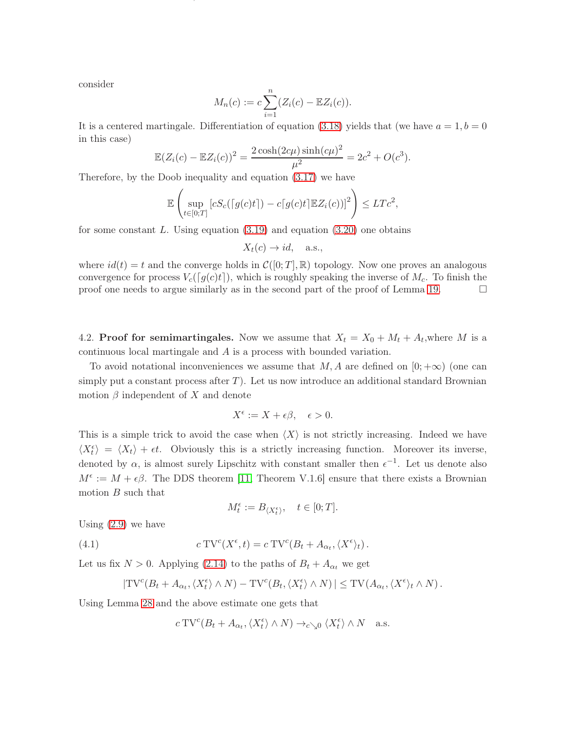consider

$$
M_n(c) := c \sum_{i=1}^n (Z_i(c) - \mathbb{E}Z_i(c)).
$$

ON TRUNCATED VARIATION, UPWARD TRUNCATED VARIATION AND DOWNWARD TRUNCATED VARIATION FOR DIFFUSIONS27

It is a centered martingale. Differentiation of equation [\(3.18\)](#page-15-2) yields that (we have  $a = 1, b = 0$ in this case)

$$
\mathbb{E}(Z_i(c) - \mathbb{E}Z_i(c))^2 = \frac{2\cosh(2c\mu)\sinh(c\mu)^2}{\mu^2} = 2c^2 + O(c^3).
$$

Therefore, by the Doob inequality and equation [\(3.17\)](#page-15-3) we have

$$
\mathbb{E}\left(\sup_{t\in[0;T]}[cS_c(\lceil g(c)t\rceil)-c\lceil g(c)t\rceil\mathbb{E}Z_i(c))]^2\right)\leq LTc^2,
$$

for some constant  $L$ . Using equation  $(3.19)$  and equation  $(3.20)$  one obtains

$$
X_t(c) \to id, \quad \text{a.s.},
$$

where  $id(t) = t$  and the converge holds in  $\mathcal{C}([0;T], \mathbb{R})$  topology. Now one proves an analogous convergence for process  $V_c(\lceil g(c)t \rceil)$ , which is roughly speaking the inverse of  $M_c$ . To finish the proof one needs to argue similarly as in the second part of the proof of Lemma 19. proof one needs to argue similarly as in the second part of the proof of Lemma [19.](#page-14-5)

4.2. **Proof for semimartingales.** Now we assume that  $X_t = X_0 + M_t + A_t$ , where M is a continuous local martingale and A is a process with bounded variation.

To avoid notational inconveniences we assume that  $M$ , A are defined on  $[0; +\infty)$  (one can simply put a constant process after  $T$ ). Let us now introduce an additional standard Brownian motion  $\beta$  independent of X and denote

$$
X^{\epsilon} := X + \epsilon \beta, \quad \epsilon > 0.
$$

This is a simple trick to avoid the case when  $\langle X \rangle$  is not strictly increasing. Indeed we have  $\langle X_t^{\epsilon} \rangle = \langle X_t \rangle + \epsilon t$ . Obviously this is a strictly increasing function. Moreover its inverse, denoted by  $\alpha$ , is almost surely Lipschitz with constant smaller then  $\epsilon^{-1}$ . Let us denote also  $M^{\epsilon} := M + \epsilon \beta$ . The DDS theorem [\[11,](#page-28-3) Theorem V.1.6] ensure that there exists a Brownian motion  $B$  such that

<span id="page-26-0"></span>
$$
M^\epsilon_t:=B_{\langle X^\epsilon_t\rangle},\quad t\in[0;T].
$$

Using  $(2.9)$  we have

(4.1) 
$$
c \operatorname{TV}^c(X^{\epsilon}, t) = c \operatorname{TV}^c(B_t + A_{\alpha_t}, \langle X^{\epsilon} \rangle_t).
$$

Let us fix  $N > 0$ . Applying [\(2.14\)](#page-10-6) to the paths of  $B_t + A_{\alpha_t}$  we get

$$
|\mathrm{TV}^c(B_t + A_{\alpha_t}, \langle X_t^{\epsilon} \rangle \wedge N) - \mathrm{TV}^c(B_t, \langle X_t^{\epsilon} \rangle \wedge N)| \leq \mathrm{TV}(A_{\alpha_t}, \langle X^{\epsilon} \rangle_t \wedge N).
$$

Using Lemma [28](#page-25-1) and the above estimate one gets that

$$
c\,\mathrm{TV}^c(B_t + A_{\alpha_t}, \langle X_t^\epsilon \rangle \wedge N) \to_{c \searrow 0} \langle X_t^\epsilon \rangle \wedge N \quad \text{a.s.}
$$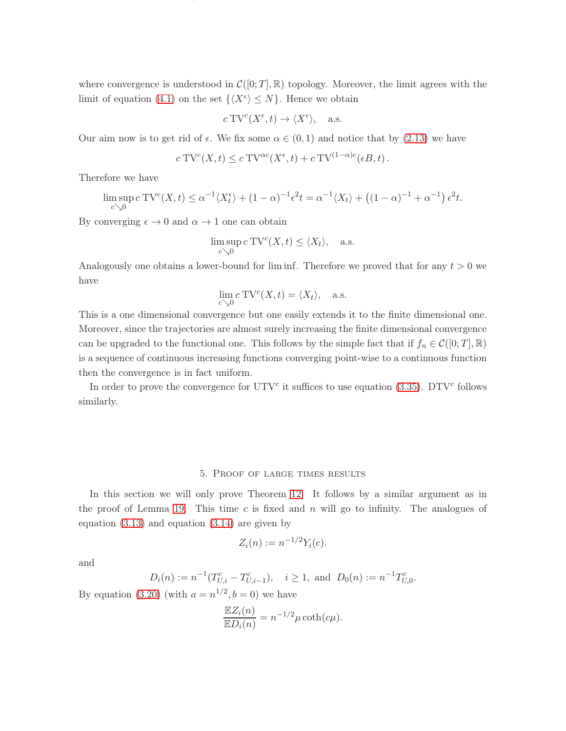where convergence is understood in  $\mathcal{C}([0;T],\mathbb{R})$  topology. Moreover, the limit agrees with the limit of equation [\(4.1\)](#page-26-0) on the set  $\{X^{\epsilon}\}\leq N\}$ . Hence we obtain

ON TRUNCATED VARIATION, UPWARD TRUNCATED VARIATION AND DOWNWARD TRUNCATED VARIATION FOR DIFFUSIONS28

$$
c
$$
 TV<sup>c</sup> $(X^{\epsilon}, t) \rightarrow \langle X^{\epsilon} \rangle$ , a.s.

Our aim now is to get rid of  $\epsilon$ . We fix some  $\alpha \in (0,1)$  and notice that by [\(2.13\)](#page-10-4) we have

$$
c\,\mathrm{TV}^c(X,t) \le c\,\mathrm{TV}^{\alpha c}(X^{\epsilon},t) + c\,\mathrm{TV}^{(1-\alpha)c}(\epsilon B,t).
$$

Therefore we have

$$
\limsup_{c \searrow 0} c \operatorname{TV}^c(X, t) \le \alpha^{-1} \langle X_t^{\epsilon} \rangle + (1 - \alpha)^{-1} \epsilon^2 t = \alpha^{-1} \langle X_t \rangle + \left( (1 - \alpha)^{-1} + \alpha^{-1} \right) \epsilon^2 t.
$$

By converging  $\epsilon \to 0$  and  $\alpha \to 1$  one can obtain

$$
\limsup_{c \searrow 0} c \operatorname{TV}^c(X, t) \le \langle X_t \rangle, \quad \text{a.s.}
$$

Analogously one obtains a lower-bound for liminf. Therefore we proved that for any  $t > 0$  we have

$$
\lim_{c \searrow 0} c \operatorname{TV}^c(X, t) = \langle X_t \rangle, \quad \text{a.s.}
$$

This is a one dimensional convergence but one easily extends it to the finite dimensional one. Moreover, since the trajectories are almost surely increasing the finite dimensional convergence can be upgraded to the functional one. This follows by the simple fact that if  $f_n \in \mathcal{C}([0; T], \mathbb{R})$ is a sequence of continuous increasing functions converging point-wise to a continuous function then the convergence is in fact uniform.

In order to prove the convergence for  $UTV^c$  it suffices to use equation [\(3.35\)](#page-22-1). DTV<sup>c</sup> follows similarly.

# 5. Proof of large times results

<span id="page-27-0"></span>In this section we will only prove Theorem [12.](#page-5-3) It follows by a similar argument as in the proof of Lemma [19.](#page-14-5) This time  $c$  is fixed and  $n$  will go to infinity. The analogues of equation [\(3.13\)](#page-14-2) and equation [\(3.14\)](#page-14-3) are given by

$$
Z_i(n) := n^{-1/2} Y_i(c).
$$

and

$$
D_i(n) := n^{-1}(T_{U,i}^c - T_{U,i-1}^c), \quad i \ge 1
$$
, and  $D_0(n) := n^{-1}T_{U,0}^c$ .

By equation [\(3.20\)](#page-16-0) (with  $a = n^{1/2}, b = 0$ ) we have

$$
\frac{\mathbb{E}Z_i(n)}{\mathbb{E}D_i(n)} = n^{-1/2}\mu \coth(c\mu).
$$